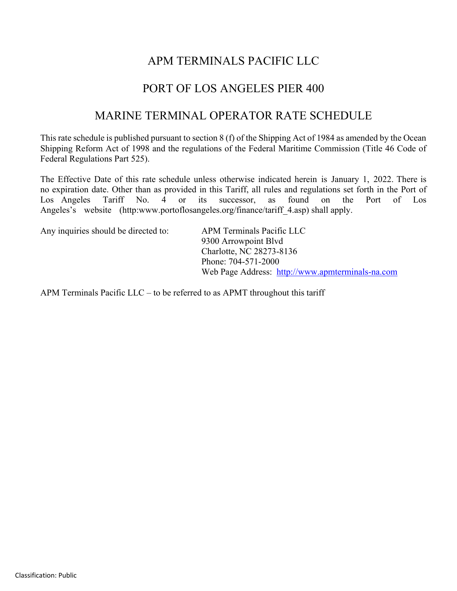### APM TERMINALS PACIFIC LLC

### PORT OF LOS ANGELES PIER 400

### MARINE TERMINAL OPERATOR RATE SCHEDULE

This rate schedule is published pursuant to section 8 (f) of the Shipping Act of 1984 as amended by the Ocean Shipping Reform Act of 1998 and the regulations of the Federal Maritime Commission (Title 46 Code of Federal Regulations Part 525).

The Effective Date of this rate schedule unless otherwise indicated herein is January 1, 2022. There is no expiration date. Other than as provided in this Tariff, all rules and regulations set forth in the Port of Los Angeles Tariff No. 4 or its successor, as found on the Port of Los Angeles's website (http:www.portoflosangeles.org/finance/tariff 4.asp) shall apply.

Any inquiries should be directed to: APM Terminals Pacific LLC

9300 Arrowpoint Blvd Charlotte, NC 28273-8136 Phone: 704-571-2000 Web Page Address: [http://www.apmterminals-na.com](http://www.apmterminals-na.com/)

APM Terminals Pacific LLC – to be referred to as APMT throughout this tariff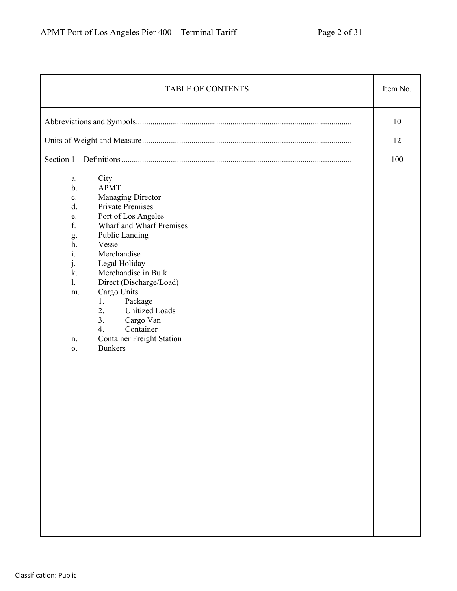| <b>TABLE OF CONTENTS</b>                                                                                                                                                                                                                                                                                                                                                                                                                                                                                                    | Item No. |
|-----------------------------------------------------------------------------------------------------------------------------------------------------------------------------------------------------------------------------------------------------------------------------------------------------------------------------------------------------------------------------------------------------------------------------------------------------------------------------------------------------------------------------|----------|
|                                                                                                                                                                                                                                                                                                                                                                                                                                                                                                                             | 10       |
|                                                                                                                                                                                                                                                                                                                                                                                                                                                                                                                             | 12       |
|                                                                                                                                                                                                                                                                                                                                                                                                                                                                                                                             | 100      |
| City<br>a.<br><b>APMT</b><br>$b$ .<br><b>Managing Director</b><br>$\mathbf{c}$ .<br><b>Private Premises</b><br>d.<br>Port of Los Angeles<br>e.<br>f.<br>Wharf and Wharf Premises<br>Public Landing<br>g.<br>Vessel<br>h.<br>$\mathbf{i}$ .<br>Merchandise<br>Legal Holiday<br>j.<br>Merchandise in Bulk<br>k.<br>Direct (Discharge/Load)<br>1.<br>Cargo Units<br>m.<br>Package<br>1.<br><b>Unitized Loads</b><br>2.<br>3.<br>Cargo Van<br>Container<br>4.<br><b>Container Freight Station</b><br>n.<br><b>Bunkers</b><br>0. |          |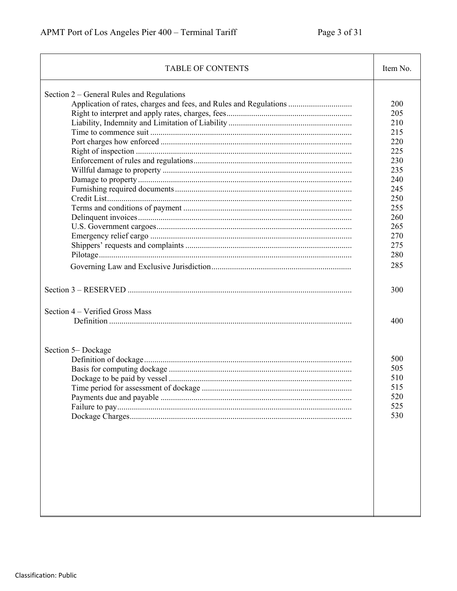| <b>TABLE OF CONTENTS</b>                                                                                       | Item No.                                                                                                     |
|----------------------------------------------------------------------------------------------------------------|--------------------------------------------------------------------------------------------------------------|
| Section 2 – General Rules and Regulations<br>Application of rates, charges and fees, and Rules and Regulations | 200<br>205<br>210<br>215<br>220<br>225<br>230<br>235<br>240<br>245<br>250<br>255<br>260<br>265<br>270<br>275 |
|                                                                                                                | 280<br>285                                                                                                   |
| Section 4 - Verified Gross Mass                                                                                | 300<br>400                                                                                                   |
| Section 5-Dockage<br>Time period for assessment of dockage.                                                    | 500<br>505<br>510<br>515<br>520<br>525<br>530                                                                |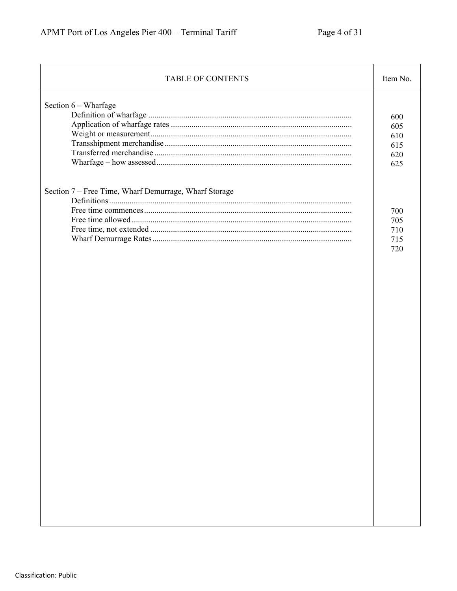| <b>TABLE OF CONTENTS</b>                              | Item No.                               |
|-------------------------------------------------------|----------------------------------------|
| Section 6 - Wharfage                                  | 600<br>605<br>610<br>615<br>620<br>625 |
| Section 7 - Free Time, Wharf Demurrage, Wharf Storage | 700<br>705<br>710<br>715<br>720        |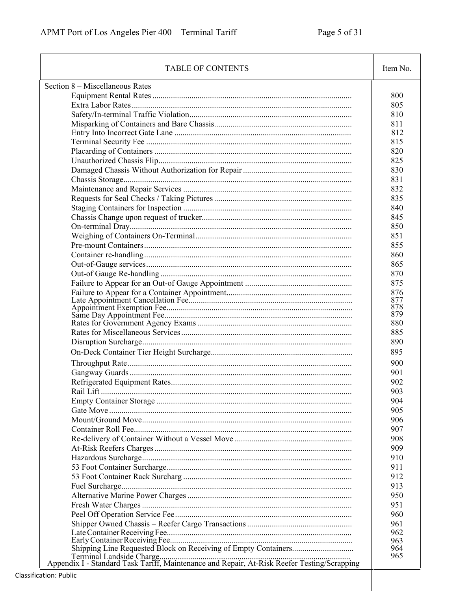| <b>TABLE OF CONTENTS</b>        | Item No.   |
|---------------------------------|------------|
| Section 8 – Miscellaneous Rates |            |
|                                 | 800        |
|                                 | 805        |
|                                 | 810        |
|                                 | 811        |
|                                 | 812        |
|                                 | 815        |
|                                 | 820        |
|                                 | 825        |
|                                 | 830        |
|                                 | 831        |
|                                 | 832        |
|                                 | 835        |
|                                 | 840        |
|                                 | 845        |
|                                 | 850        |
|                                 |            |
|                                 | 851        |
|                                 | 855        |
|                                 | 860        |
|                                 | 865        |
|                                 | 870        |
|                                 | 875        |
|                                 | 876        |
|                                 | 877<br>878 |
|                                 | 879        |
|                                 | 880        |
|                                 | 885        |
|                                 | 890        |
|                                 | 895        |
|                                 |            |
|                                 | 900        |
|                                 | 901        |
|                                 | 902        |
|                                 | 903        |
|                                 | 904        |
|                                 | 905        |
|                                 | 906        |
|                                 | 907        |
|                                 | 908        |
|                                 | 909        |
|                                 | 910        |
|                                 | 911        |
|                                 | 912        |
|                                 | 913        |
|                                 | 950        |
|                                 | 951        |
|                                 | 960        |
|                                 | 961        |
|                                 | 962        |
|                                 | 963        |
|                                 | 964        |
|                                 | 965        |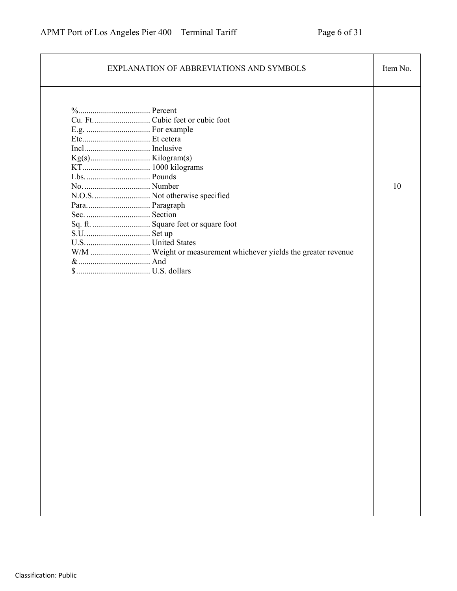| EXPLANATION OF ABBREVIATIONS AND SYMBOLS                                                                                                                    | Item No. |
|-------------------------------------------------------------------------------------------------------------------------------------------------------------|----------|
| N.O.S.  Not otherwise specified<br>Para Paragraph<br>Sq. ft.  Square feet or square foot<br>W/M  Weight or measurement whichever yields the greater revenue | 10       |
|                                                                                                                                                             |          |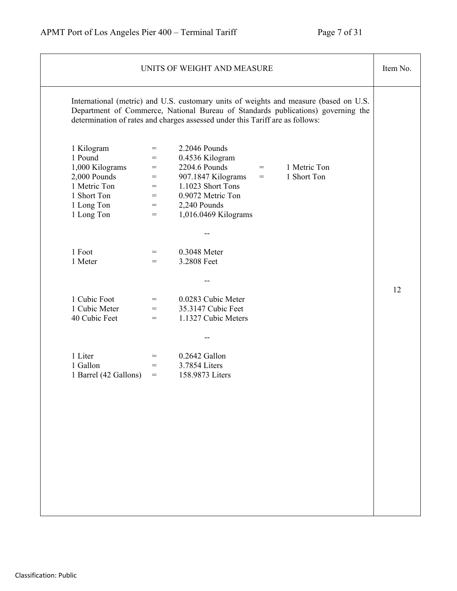|                                                                                                                     |                                                      | UNITS OF WEIGHT AND MEASURE                                                                                                                                                                                                                                | Item No. |
|---------------------------------------------------------------------------------------------------------------------|------------------------------------------------------|------------------------------------------------------------------------------------------------------------------------------------------------------------------------------------------------------------------------------------------------------------|----------|
|                                                                                                                     |                                                      | International (metric) and U.S. customary units of weights and measure (based on U.S.<br>Department of Commerce, National Bureau of Standards publications) governing the<br>determination of rates and charges assessed under this Tariff are as follows: |          |
| 1 Kilogram<br>1 Pound<br>1,000 Kilograms<br>2,000 Pounds<br>1 Metric Ton<br>1 Short Ton<br>1 Long Ton<br>1 Long Ton | $=$<br>$=$<br>$=$<br>$=$<br>$=$<br>$=$<br>$=$<br>$=$ | 2.2046 Pounds<br>0.4536 Kilogram<br>2204.6 Pounds<br>1 Metric Ton<br>$=$ $-$<br>1 Short Ton<br>907.1847 Kilograms<br>$=$<br>1.1023 Short Tons<br>0.9072 Metric Ton<br>2,240 Pounds<br>1,016.0469 Kilograms                                                 |          |
| 1 Foot                                                                                                              | $=$                                                  | 0.3048 Meter                                                                                                                                                                                                                                               |          |
| 1 Meter                                                                                                             | $\!\!\!=\!\!\!$                                      | 3.2808 Feet                                                                                                                                                                                                                                                |          |
| 1 Cubic Foot                                                                                                        | $=$                                                  | 0.0283 Cubic Meter                                                                                                                                                                                                                                         | 12       |
| 1 Cubic Meter                                                                                                       | $=$                                                  | 35.3147 Cubic Feet                                                                                                                                                                                                                                         |          |
| 40 Cubic Feet                                                                                                       | $\qquad \qquad =\qquad$                              | 1.1327 Cubic Meters                                                                                                                                                                                                                                        |          |
| 1 Liter                                                                                                             | $=$                                                  | 0.2642 Gallon                                                                                                                                                                                                                                              |          |
| 1 Gallon                                                                                                            | $=$                                                  | 3.7854 Liters                                                                                                                                                                                                                                              |          |
| 1 Barrel (42 Gallons)                                                                                               | $=$                                                  | 158.9873 Liters                                                                                                                                                                                                                                            |          |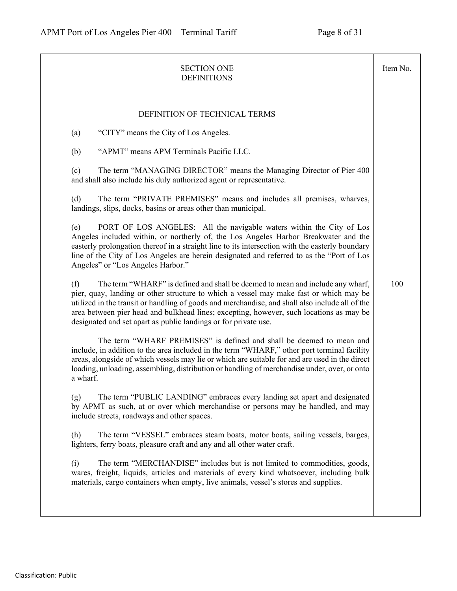| DEFINITION OF TECHNICAL TERMS<br>"CITY" means the City of Los Angeles.<br>(a)<br>"APMT" means APM Terminals Pacific LLC.<br>(b)<br>The term "MANAGING DIRECTOR" means the Managing Director of Pier 400<br>(c)<br>and shall also include his duly authorized agent or representative.<br>(d)<br>The term "PRIVATE PREMISES" means and includes all premises, wharves,<br>landings, slips, docks, basins or areas other than municipal.<br>PORT OF LOS ANGELES: All the navigable waters within the City of Los<br>(e)<br>Angeles included within, or northerly of, the Los Angeles Harbor Breakwater and the<br>easterly prolongation thereof in a straight line to its intersection with the easterly boundary<br>line of the City of Los Angeles are herein designated and referred to as the "Port of Los<br>Angeles" or "Los Angeles Harbor."<br>(f)<br>The term "WHARF" is defined and shall be deemed to mean and include any wharf,<br>100<br>pier, quay, landing or other structure to which a vessel may make fast or which may be<br>utilized in the transit or handling of goods and merchandise, and shall also include all of the<br>area between pier head and bulkhead lines; excepting, however, such locations as may be<br>designated and set apart as public landings or for private use.<br>The term "WHARF PREMISES" is defined and shall be deemed to mean and<br>include, in addition to the area included in the term "WHARF," other port terminal facility<br>areas, alongside of which vessels may lie or which are suitable for and are used in the direct<br>loading, unloading, assembling, distribution or handling of merchandise under, over, or onto<br>a wharf.<br>The term "PUBLIC LANDING" embraces every landing set apart and designated<br>(g)<br>by APMT as such, at or over which merchandise or persons may be handled, and may<br>include streets, roadways and other spaces.<br>(h)<br>The term "VESSEL" embraces steam boats, motor boats, sailing vessels, barges,<br>lighters, ferry boats, pleasure craft and any and all other water craft.<br>The term "MERCHANDISE" includes but is not limited to commodities, goods,<br>(i)<br>wares, freight, liquids, articles and materials of every kind whatsoever, including bulk | <b>SECTION ONE</b><br><b>DEFINITIONS</b>                                            | Item No. |
|------------------------------------------------------------------------------------------------------------------------------------------------------------------------------------------------------------------------------------------------------------------------------------------------------------------------------------------------------------------------------------------------------------------------------------------------------------------------------------------------------------------------------------------------------------------------------------------------------------------------------------------------------------------------------------------------------------------------------------------------------------------------------------------------------------------------------------------------------------------------------------------------------------------------------------------------------------------------------------------------------------------------------------------------------------------------------------------------------------------------------------------------------------------------------------------------------------------------------------------------------------------------------------------------------------------------------------------------------------------------------------------------------------------------------------------------------------------------------------------------------------------------------------------------------------------------------------------------------------------------------------------------------------------------------------------------------------------------------------------------------------------------------------------------------------------------------------------------------------------------------------------------------------------------------------------------------------------------------------------------------------------------------------------------------------------------------------------------------------------------------------------------------------------------------------------------------------------------------------------------------------------------------|-------------------------------------------------------------------------------------|----------|
|                                                                                                                                                                                                                                                                                                                                                                                                                                                                                                                                                                                                                                                                                                                                                                                                                                                                                                                                                                                                                                                                                                                                                                                                                                                                                                                                                                                                                                                                                                                                                                                                                                                                                                                                                                                                                                                                                                                                                                                                                                                                                                                                                                                                                                                                              | materials, cargo containers when empty, live animals, vessel's stores and supplies. |          |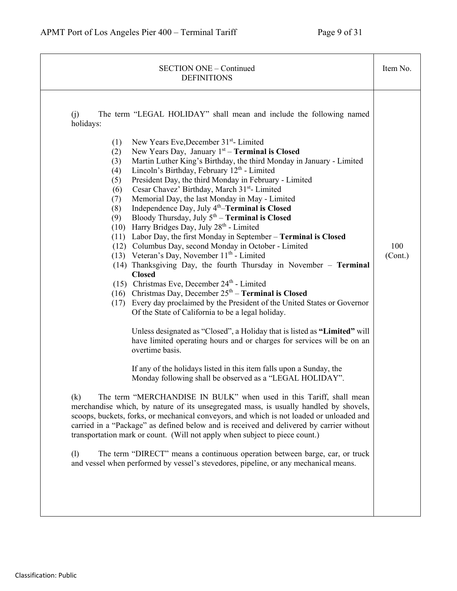| <b>SECTION ONE - Continued</b><br><b>DEFINITIONS</b>                                                                                                                                                                                                                                                                                                                                                                                                                                                                                                                                                                                                                                                                                                                                                                                                                                                                                                                                                                                                                                                                                                                                                                                                                                                                                                                                                                                                                                                                                                                                                                                                                                                                                                                                                                                                                                                                                                                                                                                                                                                                                                                                                         | Item No.       |
|--------------------------------------------------------------------------------------------------------------------------------------------------------------------------------------------------------------------------------------------------------------------------------------------------------------------------------------------------------------------------------------------------------------------------------------------------------------------------------------------------------------------------------------------------------------------------------------------------------------------------------------------------------------------------------------------------------------------------------------------------------------------------------------------------------------------------------------------------------------------------------------------------------------------------------------------------------------------------------------------------------------------------------------------------------------------------------------------------------------------------------------------------------------------------------------------------------------------------------------------------------------------------------------------------------------------------------------------------------------------------------------------------------------------------------------------------------------------------------------------------------------------------------------------------------------------------------------------------------------------------------------------------------------------------------------------------------------------------------------------------------------------------------------------------------------------------------------------------------------------------------------------------------------------------------------------------------------------------------------------------------------------------------------------------------------------------------------------------------------------------------------------------------------------------------------------------------------|----------------|
| The term "LEGAL HOLIDAY" shall mean and include the following named<br>(i)<br>holidays:<br>New Years Eve, December 31 <sup>st</sup> - Limited<br>(1)<br>New Years Day, January $1st$ – Terminal is Closed<br>(2)<br>Martin Luther King's Birthday, the third Monday in January - Limited<br>(3)<br>Lincoln's Birthday, February 12 <sup>th</sup> - Limited<br>(4)<br>President Day, the third Monday in February - Limited<br>(5)<br>Cesar Chavez' Birthday, March 31 <sup>st</sup> - Limited<br>(6)<br>Memorial Day, the last Monday in May - Limited<br>(7)<br>Independence Day, July 4 <sup>th</sup> -Terminal is Closed<br>(8)<br>Bloody Thursday, July $5th - Terminal$ is Closed<br>(9)<br>(10) Harry Bridges Day, July 28th - Limited<br>(11) Labor Day, the first Monday in September - Terminal is Closed<br>(12) Columbus Day, second Monday in October - Limited<br>(13) Veteran's Day, November $11th$ - Limited<br>(14) Thanksgiving Day, the fourth Thursday in November - Terminal<br><b>Closed</b><br>(15) Christmas Eve, December $24th$ - Limited<br>(16) Christmas Day, December $25th$ – Terminal is Closed<br>(17) Every day proclaimed by the President of the United States or Governor<br>Of the State of California to be a legal holiday.<br>Unless designated as "Closed", a Holiday that is listed as "Limited" will<br>have limited operating hours and or charges for services will be on an<br>overtime basis.<br>If any of the holidays listed in this item falls upon a Sunday, the<br>Monday following shall be observed as a "LEGAL HOLIDAY".<br>The term "MERCHANDISE IN BULK" when used in this Tariff, shall mean<br>(k)<br>merchandise which, by nature of its unsegregated mass, is usually handled by shovels,<br>scoops, buckets, forks, or mechanical conveyors, and which is not loaded or unloaded and<br>carried in a "Package" as defined below and is received and delivered by carrier without<br>transportation mark or count. (Will not apply when subject to piece count.)<br>The term "DIRECT" means a continuous operation between barge, car, or truck<br>(1)<br>and vessel when performed by vessel's stevedores, pipeline, or any mechanical means. | 100<br>(Cont.) |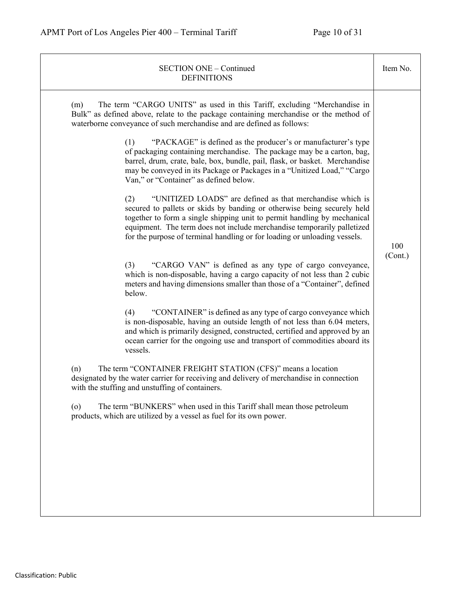| <b>SECTION ONE - Continued</b><br><b>DEFINITIONS</b>                                                                                                                                                                                                                                                                                                                                                                                                                                                                                                                                                                                                                                                                                                                                                                                                                                                                                                                                                                                                                                                                                                                                                                                                                                                                                                                                                                                                                                                                                                                                                                                                                                                                                                                                                                                                                                                                                        | Item No.       |
|---------------------------------------------------------------------------------------------------------------------------------------------------------------------------------------------------------------------------------------------------------------------------------------------------------------------------------------------------------------------------------------------------------------------------------------------------------------------------------------------------------------------------------------------------------------------------------------------------------------------------------------------------------------------------------------------------------------------------------------------------------------------------------------------------------------------------------------------------------------------------------------------------------------------------------------------------------------------------------------------------------------------------------------------------------------------------------------------------------------------------------------------------------------------------------------------------------------------------------------------------------------------------------------------------------------------------------------------------------------------------------------------------------------------------------------------------------------------------------------------------------------------------------------------------------------------------------------------------------------------------------------------------------------------------------------------------------------------------------------------------------------------------------------------------------------------------------------------------------------------------------------------------------------------------------------------|----------------|
| The term "CARGO UNITS" as used in this Tariff, excluding "Merchandise in<br>(m)<br>Bulk" as defined above, relate to the package containing merchandise or the method of<br>waterborne conveyance of such merchandise and are defined as follows:<br>"PACKAGE" is defined as the producer's or manufacturer's type<br>(1)<br>of packaging containing merchandise. The package may be a carton, bag,<br>barrel, drum, crate, bale, box, bundle, pail, flask, or basket. Merchandise<br>may be conveyed in its Package or Packages in a "Unitized Load," "Cargo<br>Van," or "Container" as defined below.<br>"UNITIZED LOADS" are defined as that merchandise which is<br>(2)<br>secured to pallets or skids by banding or otherwise being securely held<br>together to form a single shipping unit to permit handling by mechanical<br>equipment. The term does not include merchandise temporarily palletized<br>for the purpose of terminal handling or for loading or unloading vessels.<br>"CARGO VAN" is defined as any type of cargo conveyance,<br>(3)<br>which is non-disposable, having a cargo capacity of not less than 2 cubic<br>meters and having dimensions smaller than those of a "Container", defined<br>below.<br>(4)<br>"CONTAINER" is defined as any type of cargo conveyance which<br>is non-disposable, having an outside length of not less than 6.04 meters,<br>and which is primarily designed, constructed, certified and approved by an<br>ocean carrier for the ongoing use and transport of commodities aboard its<br>vessels.<br>The term "CONTAINER FREIGHT STATION (CFS)" means a location<br>(n)<br>designated by the water carrier for receiving and delivery of merchandise in connection<br>with the stuffing and unstuffing of containers.<br>The term "BUNKERS" when used in this Tariff shall mean those petroleum<br>$\circ$<br>products, which are utilized by a vessel as fuel for its own power. | 100<br>(Cont.) |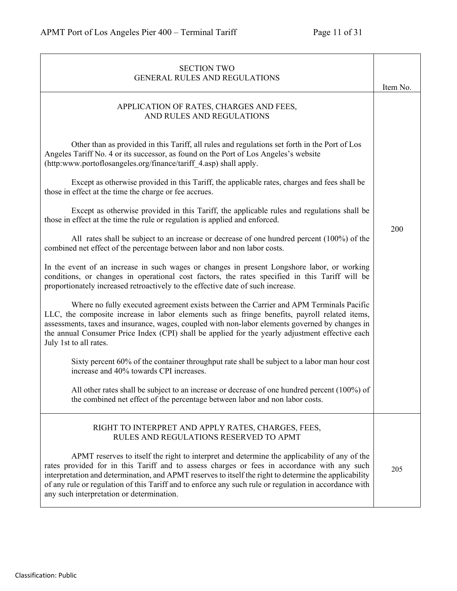| <b>SECTION TWO</b><br><b>GENERAL RULES AND REGULATIONS</b>                                                                                                                                                                                                                                                                                                                                                                                                   | Item No. |
|--------------------------------------------------------------------------------------------------------------------------------------------------------------------------------------------------------------------------------------------------------------------------------------------------------------------------------------------------------------------------------------------------------------------------------------------------------------|----------|
| APPLICATION OF RATES, CHARGES AND FEES,<br>AND RULES AND REGULATIONS                                                                                                                                                                                                                                                                                                                                                                                         |          |
| Other than as provided in this Tariff, all rules and regulations set forth in the Port of Los<br>Angeles Tariff No. 4 or its successor, as found on the Port of Los Angeles's website<br>(http:www.portoflosangeles.org/finance/tariff 4.asp) shall apply.                                                                                                                                                                                                   |          |
| Except as otherwise provided in this Tariff, the applicable rates, charges and fees shall be<br>those in effect at the time the charge or fee accrues.                                                                                                                                                                                                                                                                                                       |          |
| Except as otherwise provided in this Tariff, the applicable rules and regulations shall be<br>those in effect at the time the rule or regulation is applied and enforced.                                                                                                                                                                                                                                                                                    |          |
| All rates shall be subject to an increase or decrease of one hundred percent (100%) of the<br>combined net effect of the percentage between labor and non labor costs.                                                                                                                                                                                                                                                                                       | 200      |
| In the event of an increase in such wages or changes in present Longshore labor, or working<br>conditions, or changes in operational cost factors, the rates specified in this Tariff will be<br>proportionately increased retroactively to the effective date of such increase.                                                                                                                                                                             |          |
| Where no fully executed agreement exists between the Carrier and APM Terminals Pacific<br>LLC, the composite increase in labor elements such as fringe benefits, payroll related items,<br>assessments, taxes and insurance, wages, coupled with non-labor elements governed by changes in<br>the annual Consumer Price Index (CPI) shall be applied for the yearly adjustment effective each<br>July 1st to all rates.                                      |          |
| Sixty percent 60% of the container throughput rate shall be subject to a labor man hour cost<br>increase and 40% towards CPI increases.                                                                                                                                                                                                                                                                                                                      |          |
| All other rates shall be subject to an increase or decrease of one hundred percent $(100\%)$ of<br>the combined net effect of the percentage between labor and non labor costs.                                                                                                                                                                                                                                                                              |          |
| RIGHT TO INTERPRET AND APPLY RATES, CHARGES, FEES,<br>RULES AND REGULATIONS RESERVED TO APMT                                                                                                                                                                                                                                                                                                                                                                 |          |
| APMT reserves to itself the right to interpret and determine the applicability of any of the<br>rates provided for in this Tariff and to assess charges or fees in accordance with any such<br>interpretation and determination, and APMT reserves to itself the right to determine the applicability<br>of any rule or regulation of this Tariff and to enforce any such rule or regulation in accordance with<br>any such interpretation or determination. | 205      |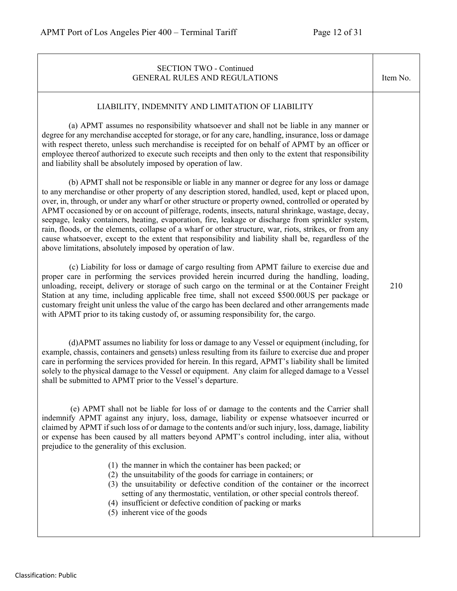| <b>SECTION TWO - Continued</b><br>GENERAL RULES AND REGULATIONS                                                                                                                                                                                                                                                                                                                                                                                                                                                                                                                                                                                                                                                                                                                                                                                                                                                                                                                                                                                                                                                                                                                                                                                                                                                                                                                                                                                                                                                                                                                                                                                                                                                                                                                                                                                                                                                                                    | Item No. |
|----------------------------------------------------------------------------------------------------------------------------------------------------------------------------------------------------------------------------------------------------------------------------------------------------------------------------------------------------------------------------------------------------------------------------------------------------------------------------------------------------------------------------------------------------------------------------------------------------------------------------------------------------------------------------------------------------------------------------------------------------------------------------------------------------------------------------------------------------------------------------------------------------------------------------------------------------------------------------------------------------------------------------------------------------------------------------------------------------------------------------------------------------------------------------------------------------------------------------------------------------------------------------------------------------------------------------------------------------------------------------------------------------------------------------------------------------------------------------------------------------------------------------------------------------------------------------------------------------------------------------------------------------------------------------------------------------------------------------------------------------------------------------------------------------------------------------------------------------------------------------------------------------------------------------------------------------|----------|
| LIABILITY, INDEMNITY AND LIMITATION OF LIABILITY<br>(a) APMT assumes no responsibility whatsoever and shall not be liable in any manner or<br>degree for any merchandise accepted for storage, or for any care, handling, insurance, loss or damage<br>with respect thereto, unless such merchandise is receipted for on behalf of APMT by an officer or<br>employee thereof authorized to execute such receipts and then only to the extent that responsibility<br>and liability shall be absolutely imposed by operation of law.<br>(b) APMT shall not be responsible or liable in any manner or degree for any loss or damage<br>to any merchandise or other property of any description stored, handled, used, kept or placed upon,<br>over, in, through, or under any wharf or other structure or property owned, controlled or operated by<br>APMT occasioned by or on account of pilferage, rodents, insects, natural shrinkage, wastage, decay,<br>seepage, leaky containers, heating, evaporation, fire, leakage or discharge from sprinkler system,<br>rain, floods, or the elements, collapse of a wharf or other structure, war, riots, strikes, or from any<br>cause whatsoever, except to the extent that responsibility and liability shall be, regardless of the<br>above limitations, absolutely imposed by operation of law.<br>(c) Liability for loss or damage of cargo resulting from APMT failure to exercise due and<br>proper care in performing the services provided herein incurred during the handling, loading,<br>unloading, receipt, delivery or storage of such cargo on the terminal or at the Container Freight<br>Station at any time, including applicable free time, shall not exceed \$500.00US per package or<br>customary freight unit unless the value of the cargo has been declared and other arrangements made<br>with APMT prior to its taking custody of, or assuming responsibility for, the cargo. | 210      |
| (d) APMT assumes no liability for loss or damage to any Vessel or equipment (including, for<br>example, chassis, containers and gensets) unless resulting from its failure to exercise due and proper<br>care in performing the services provided for herein. In this regard, APMT's liability shall be limited<br>solely to the physical damage to the Vessel or equipment. Any claim for alleged damage to a Vessel<br>shall be submitted to APMT prior to the Vessel's departure.<br>(e) APMT shall not be liable for loss of or damage to the contents and the Carrier shall<br>indemnify APMT against any injury, loss, damage, liability or expense whatsoever incurred or<br>claimed by APMT if such loss of or damage to the contents and/or such injury, loss, damage, liability<br>or expense has been caused by all matters beyond APMT's control including, inter alia, without<br>prejudice to the generality of this exclusion.<br>(1) the manner in which the container has been packed; or<br>(2) the unsuitability of the goods for carriage in containers; or<br>(3) the unsuitability or defective condition of the container or the incorrect<br>setting of any thermostatic, ventilation, or other special controls thereof.<br>(4) insufficient or defective condition of packing or marks<br>(5) inherent vice of the goods                                                                                                                                                                                                                                                                                                                                                                                                                                                                                                                                                                                                 |          |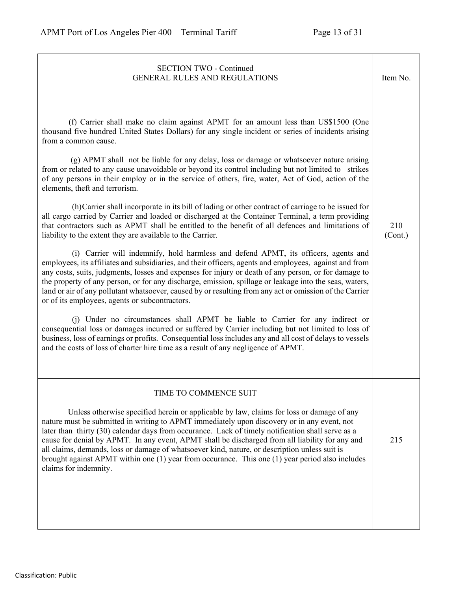| <b>SECTION TWO - Continued</b><br><b>GENERAL RULES AND REGULATIONS</b>                                                                                                                                                                                                                                                                                                                                                                                                                                                                                                                                                                                                                                                                                                                                                                                                                                                                                                                                                                                                                                                                                                                                                                                                                                                                                                                                                                                                                                                                                                                                                                                                                                                                                                                                                                                                                                               | Item No.       |
|----------------------------------------------------------------------------------------------------------------------------------------------------------------------------------------------------------------------------------------------------------------------------------------------------------------------------------------------------------------------------------------------------------------------------------------------------------------------------------------------------------------------------------------------------------------------------------------------------------------------------------------------------------------------------------------------------------------------------------------------------------------------------------------------------------------------------------------------------------------------------------------------------------------------------------------------------------------------------------------------------------------------------------------------------------------------------------------------------------------------------------------------------------------------------------------------------------------------------------------------------------------------------------------------------------------------------------------------------------------------------------------------------------------------------------------------------------------------------------------------------------------------------------------------------------------------------------------------------------------------------------------------------------------------------------------------------------------------------------------------------------------------------------------------------------------------------------------------------------------------------------------------------------------------|----------------|
| (f) Carrier shall make no claim against APMT for an amount less than US\$1500 (One<br>thousand five hundred United States Dollars) for any single incident or series of incidents arising<br>from a common cause.<br>$(g)$ APMT shall not be liable for any delay, loss or damage or whatsoever nature arising<br>from or related to any cause unavoidable or beyond its control including but not limited to strikes<br>of any persons in their employ or in the service of others, fire, water, Act of God, action of the<br>elements, theft and terrorism.<br>(h) Carrier shall incorporate in its bill of lading or other contract of carriage to be issued for<br>all cargo carried by Carrier and loaded or discharged at the Container Terminal, a term providing<br>that contractors such as APMT shall be entitled to the benefit of all defences and limitations of<br>liability to the extent they are available to the Carrier.<br>(i) Carrier will indemnify, hold harmless and defend APMT, its officers, agents and<br>employees, its affiliates and subsidiaries, and their officers, agents and employees, against and from<br>any costs, suits, judgments, losses and expenses for injury or death of any person, or for damage to<br>the property of any person, or for any discharge, emission, spillage or leakage into the seas, waters,<br>land or air of any pollutant whatsoever, caused by or resulting from any act or omission of the Carrier<br>or of its employees, agents or subcontractors.<br>(j) Under no circumstances shall APMT be liable to Carrier for any indirect or<br>consequential loss or damages incurred or suffered by Carrier including but not limited to loss of<br>business, loss of earnings or profits. Consequential loss includes any and all cost of delays to vessels<br>and the costs of loss of charter hire time as a result of any negligence of APMT. | 210<br>(Cont.) |
| TIME TO COMMENCE SUIT<br>Unless otherwise specified herein or applicable by law, claims for loss or damage of any<br>nature must be submitted in writing to APMT immediately upon discovery or in any event, not<br>later than thirty (30) calendar days from occurance. Lack of timely notification shall serve as a<br>cause for denial by APMT. In any event, APMT shall be discharged from all liability for any and<br>all claims, demands, loss or damage of whatsoever kind, nature, or description unless suit is<br>brought against APMT within one (1) year from occurance. This one (1) year period also includes<br>claims for indemnity.                                                                                                                                                                                                                                                                                                                                                                                                                                                                                                                                                                                                                                                                                                                                                                                                                                                                                                                                                                                                                                                                                                                                                                                                                                                                | 215            |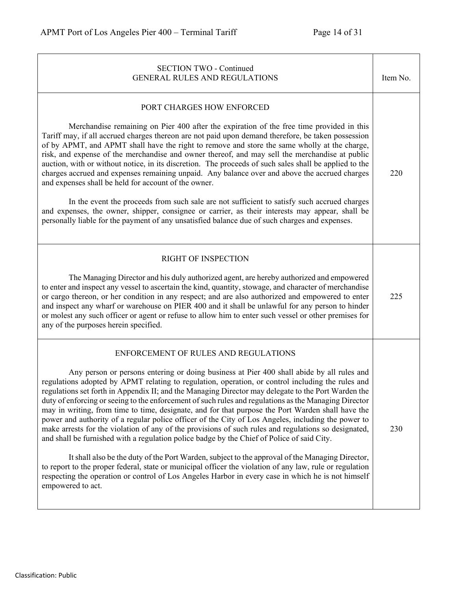| <b>SECTION TWO - Continued</b><br><b>GENERAL RULES AND REGULATIONS</b>                                                                                                                                                                                                                                                                                                                                                                                                                                                                                                                                                                                                                                                                                                                                                                                                                                                                                                                                                                                                                                                                                                                                            | Item No. |
|-------------------------------------------------------------------------------------------------------------------------------------------------------------------------------------------------------------------------------------------------------------------------------------------------------------------------------------------------------------------------------------------------------------------------------------------------------------------------------------------------------------------------------------------------------------------------------------------------------------------------------------------------------------------------------------------------------------------------------------------------------------------------------------------------------------------------------------------------------------------------------------------------------------------------------------------------------------------------------------------------------------------------------------------------------------------------------------------------------------------------------------------------------------------------------------------------------------------|----------|
| PORT CHARGES HOW ENFORCED<br>Merchandise remaining on Pier 400 after the expiration of the free time provided in this<br>Tariff may, if all accrued charges thereon are not paid upon demand therefore, be taken possession<br>of by APMT, and APMT shall have the right to remove and store the same wholly at the charge,<br>risk, and expense of the merchandise and owner thereof, and may sell the merchandise at public<br>auction, with or without notice, in its discretion. The proceeds of such sales shall be applied to the<br>charges accrued and expenses remaining unpaid. Any balance over and above the accrued charges<br>and expenses shall be held for account of the owner.<br>In the event the proceeds from such sale are not sufficient to satisfy such accrued charges<br>and expenses, the owner, shipper, consignee or carrier, as their interests may appear, shall be<br>personally liable for the payment of any unsatisfied balance due of such charges and expenses.                                                                                                                                                                                                              | 220      |
| <b>RIGHT OF INSPECTION</b><br>The Managing Director and his duly authorized agent, are hereby authorized and empowered<br>to enter and inspect any vessel to ascertain the kind, quantity, stowage, and character of merchandise<br>or cargo thereon, or her condition in any respect; and are also authorized and empowered to enter<br>and inspect any wharf or warehouse on PIER 400 and it shall be unlawful for any person to hinder<br>or molest any such officer or agent or refuse to allow him to enter such vessel or other premises for<br>any of the purposes herein specified.                                                                                                                                                                                                                                                                                                                                                                                                                                                                                                                                                                                                                       | 225      |
| ENFORCEMENT OF RULES AND REGULATIONS<br>Any person or persons entering or doing business at Pier 400 shall abide by all rules and<br>regulations adopted by APMT relating to regulation, operation, or control including the rules and<br>regulations set forth in Appendix II; and the Managing Director may delegate to the Port Warden the<br>duty of enforcing or seeing to the enforcement of such rules and regulations as the Managing Director<br>may in writing, from time to time, designate, and for that purpose the Port Warden shall have the<br>power and authority of a regular police officer of the City of Los Angeles, including the power to<br>make arrests for the violation of any of the provisions of such rules and regulations so designated,<br>and shall be furnished with a regulation police badge by the Chief of Police of said City.<br>It shall also be the duty of the Port Warden, subject to the approval of the Managing Director,<br>to report to the proper federal, state or municipal officer the violation of any law, rule or regulation<br>respecting the operation or control of Los Angeles Harbor in every case in which he is not himself<br>empowered to act. | 230      |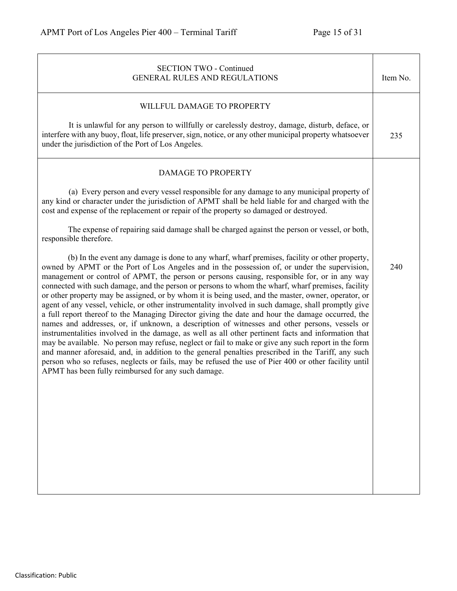| <b>SECTION TWO - Continued</b><br><b>GENERAL RULES AND REGULATIONS</b>                                                                                                                                                                                                                                                                                                                                                                                                                                                                                                                                                                                                                                                                                                                                                                                                                                                                                                                                                                                                                                                                                                                                                                                                                                   | Item No. |
|----------------------------------------------------------------------------------------------------------------------------------------------------------------------------------------------------------------------------------------------------------------------------------------------------------------------------------------------------------------------------------------------------------------------------------------------------------------------------------------------------------------------------------------------------------------------------------------------------------------------------------------------------------------------------------------------------------------------------------------------------------------------------------------------------------------------------------------------------------------------------------------------------------------------------------------------------------------------------------------------------------------------------------------------------------------------------------------------------------------------------------------------------------------------------------------------------------------------------------------------------------------------------------------------------------|----------|
| WILLFUL DAMAGE TO PROPERTY                                                                                                                                                                                                                                                                                                                                                                                                                                                                                                                                                                                                                                                                                                                                                                                                                                                                                                                                                                                                                                                                                                                                                                                                                                                                               |          |
| It is unlawful for any person to willfully or carelessly destroy, damage, disturb, deface, or<br>interfere with any buoy, float, life preserver, sign, notice, or any other municipal property whatsoever<br>under the jurisdiction of the Port of Los Angeles.                                                                                                                                                                                                                                                                                                                                                                                                                                                                                                                                                                                                                                                                                                                                                                                                                                                                                                                                                                                                                                          | 235      |
| <b>DAMAGE TO PROPERTY</b>                                                                                                                                                                                                                                                                                                                                                                                                                                                                                                                                                                                                                                                                                                                                                                                                                                                                                                                                                                                                                                                                                                                                                                                                                                                                                |          |
| (a) Every person and every vessel responsible for any damage to any municipal property of<br>any kind or character under the jurisdiction of APMT shall be held liable for and charged with the<br>cost and expense of the replacement or repair of the property so damaged or destroyed.                                                                                                                                                                                                                                                                                                                                                                                                                                                                                                                                                                                                                                                                                                                                                                                                                                                                                                                                                                                                                |          |
| The expense of repairing said damage shall be charged against the person or vessel, or both,<br>responsible therefore.                                                                                                                                                                                                                                                                                                                                                                                                                                                                                                                                                                                                                                                                                                                                                                                                                                                                                                                                                                                                                                                                                                                                                                                   |          |
| (b) In the event any damage is done to any wharf, wharf premises, facility or other property,<br>owned by APMT or the Port of Los Angeles and in the possession of, or under the supervision,<br>management or control of APMT, the person or persons causing, responsible for, or in any way<br>connected with such damage, and the person or persons to whom the wharf, wharf premises, facility<br>or other property may be assigned, or by whom it is being used, and the master, owner, operator, or<br>agent of any vessel, vehicle, or other instrumentality involved in such damage, shall promptly give<br>a full report thereof to the Managing Director giving the date and hour the damage occurred, the<br>names and addresses, or, if unknown, a description of witnesses and other persons, vessels or<br>instrumentalities involved in the damage, as well as all other pertinent facts and information that<br>may be available. No person may refuse, neglect or fail to make or give any such report in the form<br>and manner aforesaid, and, in addition to the general penalties prescribed in the Tariff, any such<br>person who so refuses, neglects or fails, may be refused the use of Pier 400 or other facility until<br>APMT has been fully reimbursed for any such damage. | 240      |
|                                                                                                                                                                                                                                                                                                                                                                                                                                                                                                                                                                                                                                                                                                                                                                                                                                                                                                                                                                                                                                                                                                                                                                                                                                                                                                          |          |
|                                                                                                                                                                                                                                                                                                                                                                                                                                                                                                                                                                                                                                                                                                                                                                                                                                                                                                                                                                                                                                                                                                                                                                                                                                                                                                          |          |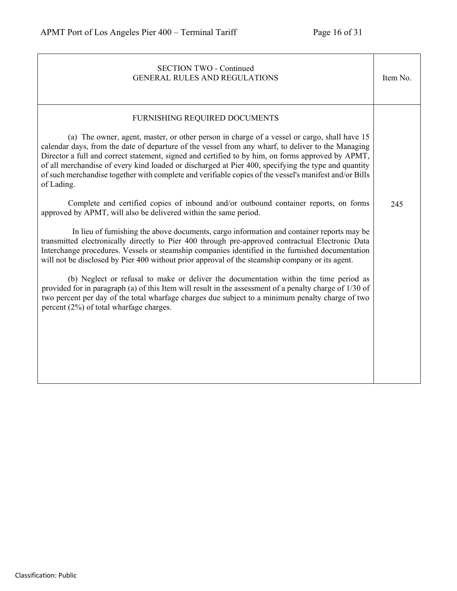| <b>SECTION TWO - Continued</b><br><b>GENERAL RULES AND REGULATIONS</b>                                                                                                                                                                                                                                                                                                                                                                                                                                                                                                                                                                                                                                                                                                                                                                                                                                                                                                                                                                                                                                                                                                                                                                                                                                                                                                                                                                                                                        | Item No. |
|-----------------------------------------------------------------------------------------------------------------------------------------------------------------------------------------------------------------------------------------------------------------------------------------------------------------------------------------------------------------------------------------------------------------------------------------------------------------------------------------------------------------------------------------------------------------------------------------------------------------------------------------------------------------------------------------------------------------------------------------------------------------------------------------------------------------------------------------------------------------------------------------------------------------------------------------------------------------------------------------------------------------------------------------------------------------------------------------------------------------------------------------------------------------------------------------------------------------------------------------------------------------------------------------------------------------------------------------------------------------------------------------------------------------------------------------------------------------------------------------------|----------|
| FURNISHING REQUIRED DOCUMENTS<br>(a) The owner, agent, master, or other person in charge of a vessel or cargo, shall have 15<br>calendar days, from the date of departure of the vessel from any wharf, to deliver to the Managing<br>Director a full and correct statement, signed and certified to by him, on forms approved by APMT,<br>of all merchandise of every kind loaded or discharged at Pier 400, specifying the type and quantity<br>of such merchandise together with complete and verifiable copies of the vessel's manifest and/or Bills<br>of Lading.<br>Complete and certified copies of inbound and/or outbound container reports, on forms<br>approved by APMT, will also be delivered within the same period.<br>In lieu of furnishing the above documents, cargo information and container reports may be<br>transmitted electronically directly to Pier 400 through pre-approved contractual Electronic Data<br>Interchange procedures. Vessels or steamship companies identified in the furnished documentation<br>will not be disclosed by Pier 400 without prior approval of the steamship company or its agent.<br>(b) Neglect or refusal to make or deliver the documentation within the time period as<br>provided for in paragraph (a) of this Item will result in the assessment of a penalty charge of 1/30 of<br>two percent per day of the total wharfage charges due subject to a minimum penalty charge of two<br>percent (2%) of total wharfage charges. | 245      |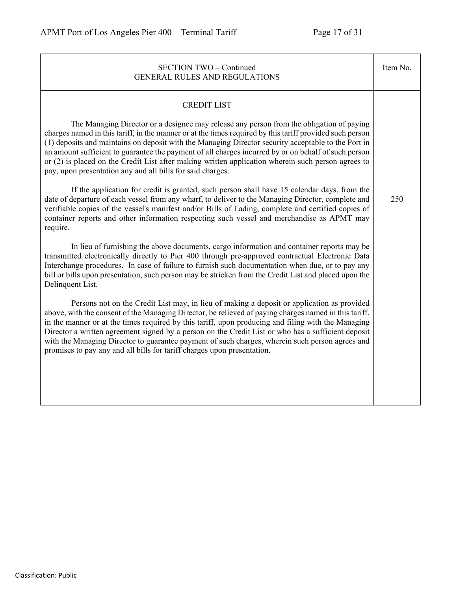| <b>SECTION TWO - Continued</b><br><b>GENERAL RULES AND REGULATIONS</b>                                                                                                                                                                                                                                                                                                                                                                                                                                                                                                                        | Item No. |
|-----------------------------------------------------------------------------------------------------------------------------------------------------------------------------------------------------------------------------------------------------------------------------------------------------------------------------------------------------------------------------------------------------------------------------------------------------------------------------------------------------------------------------------------------------------------------------------------------|----------|
| <b>CREDIT LIST</b>                                                                                                                                                                                                                                                                                                                                                                                                                                                                                                                                                                            |          |
| The Managing Director or a designee may release any person from the obligation of paying<br>charges named in this tariff, in the manner or at the times required by this tariff provided such person<br>(1) deposits and maintains on deposit with the Managing Director security acceptable to the Port in<br>an amount sufficient to guarantee the payment of all charges incurred by or on behalf of such person<br>or (2) is placed on the Credit List after making written application wherein such person agrees to<br>pay, upon presentation any and all bills for said charges.       |          |
| If the application for credit is granted, such person shall have 15 calendar days, from the<br>date of departure of each vessel from any wharf, to deliver to the Managing Director, complete and<br>verifiable copies of the vessel's manifest and/or Bills of Lading, complete and certified copies of<br>container reports and other information respecting such vessel and merchandise as APMT may<br>require.                                                                                                                                                                            | 250      |
| In lieu of furnishing the above documents, cargo information and container reports may be<br>transmitted electronically directly to Pier 400 through pre-approved contractual Electronic Data<br>Interchange procedures. In case of failure to furnish such documentation when due, or to pay any<br>bill or bills upon presentation, such person may be stricken from the Credit List and placed upon the<br>Delinquent List.                                                                                                                                                                |          |
| Persons not on the Credit List may, in lieu of making a deposit or application as provided<br>above, with the consent of the Managing Director, be relieved of paying charges named in this tariff,<br>in the manner or at the times required by this tariff, upon producing and filing with the Managing<br>Director a written agreement signed by a person on the Credit List or who has a sufficient deposit<br>with the Managing Director to guarantee payment of such charges, wherein such person agrees and<br>promises to pay any and all bills for tariff charges upon presentation. |          |
|                                                                                                                                                                                                                                                                                                                                                                                                                                                                                                                                                                                               |          |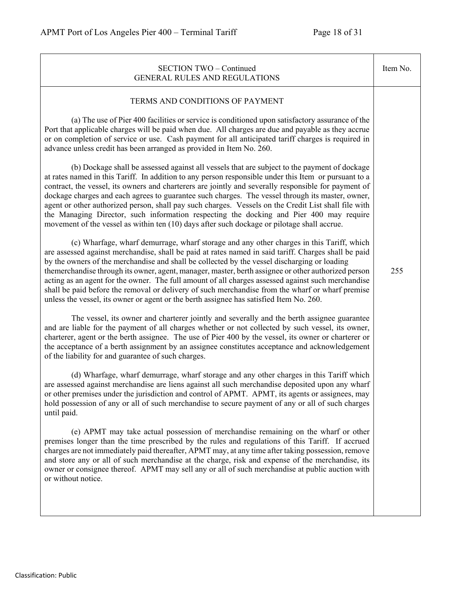| <b>SECTION TWO - Continued</b><br><b>GENERAL RULES AND REGULATIONS</b>                                                                                                                                                                                                                                                                                                                                                                                                                                                                                                                                                                                                                                              | Item No. |
|---------------------------------------------------------------------------------------------------------------------------------------------------------------------------------------------------------------------------------------------------------------------------------------------------------------------------------------------------------------------------------------------------------------------------------------------------------------------------------------------------------------------------------------------------------------------------------------------------------------------------------------------------------------------------------------------------------------------|----------|
| TERMS AND CONDITIONS OF PAYMENT                                                                                                                                                                                                                                                                                                                                                                                                                                                                                                                                                                                                                                                                                     |          |
| (a) The use of Pier 400 facilities or service is conditioned upon satisfactory assurance of the<br>Port that applicable charges will be paid when due. All charges are due and payable as they accrue<br>or on completion of service or use. Cash payment for all anticipated tariff charges is required in<br>advance unless credit has been arranged as provided in Item No. 260.                                                                                                                                                                                                                                                                                                                                 |          |
| (b) Dockage shall be assessed against all vessels that are subject to the payment of dockage<br>at rates named in this Tariff. In addition to any person responsible under this Item or pursuant to a<br>contract, the vessel, its owners and charterers are jointly and severally responsible for payment of<br>dockage charges and each agrees to guarantee such charges. The vessel through its master, owner,<br>agent or other authorized person, shall pay such charges. Vessels on the Credit List shall file with<br>the Managing Director, such information respecting the docking and Pier 400 may require<br>movement of the vessel as within ten (10) days after such dockage or pilotage shall accrue. |          |
| (c) Wharfage, wharf demurrage, wharf storage and any other charges in this Tariff, which<br>are assessed against merchandise, shall be paid at rates named in said tariff. Charges shall be paid<br>by the owners of the merchandise and shall be collected by the vessel discharging or loading<br>themerchandise through its owner, agent, manager, master, berth assignee or other authorized person<br>acting as an agent for the owner. The full amount of all charges assessed against such merchandise<br>shall be paid before the removal or delivery of such merchandise from the wharf or wharf premise<br>unless the vessel, its owner or agent or the berth assignee has satisfied Item No. 260.        | 255      |
| The vessel, its owner and charterer jointly and severally and the berth assignee guarantee<br>and are liable for the payment of all charges whether or not collected by such vessel, its owner,<br>charterer, agent or the berth assignee. The use of Pier 400 by the vessel, its owner or charterer or<br>the acceptance of a berth assignment by an assignee constitutes acceptance and acknowledgement<br>of the liability for and guarantee of such charges.                                                                                                                                                                                                                                                    |          |
| (d) Wharfage, wharf demurrage, wharf storage and any other charges in this Tariff which<br>are assessed against merchandise are liens against all such merchandise deposited upon any wharf<br>or other premises under the jurisdiction and control of APMT. APMT, its agents or assignees, may<br>hold possession of any or all of such merchandise to secure payment of any or all of such charges<br>until paid.                                                                                                                                                                                                                                                                                                 |          |
| (e) APMT may take actual possession of merchandise remaining on the wharf or other<br>premises longer than the time prescribed by the rules and regulations of this Tariff. If accrued<br>charges are not immediately paid thereafter, APMT may, at any time after taking possession, remove<br>and store any or all of such merchandise at the charge, risk and expense of the merchandise, its<br>owner or consignee thereof. APMT may sell any or all of such merchandise at public auction with<br>or without notice.                                                                                                                                                                                           |          |
|                                                                                                                                                                                                                                                                                                                                                                                                                                                                                                                                                                                                                                                                                                                     |          |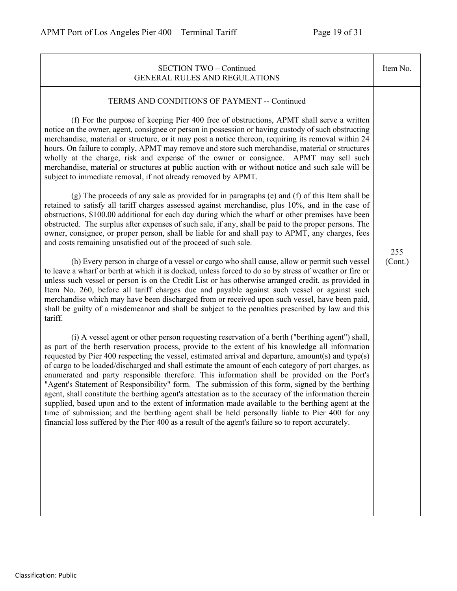| <b>SECTION TWO - Continued</b><br><b>GENERAL RULES AND REGULATIONS</b>                                                                                                                                                                                                                                                                                                                                                                                                                                                                                                                                                                                                                                                                                                                                                                                                                                                                                                                                                                                                                                                                                                                                                                                                                                                                                                                                                                                                                                                                                                                                                                                                                                                                                                                                                                                                                                                                                                                                                                                                                                                                                                                                                                                                                                                                                                                                                                                                                                                                                                                                                                                                                                                                                                                                                                                                                                                                                                                                | Item No.       |
|-------------------------------------------------------------------------------------------------------------------------------------------------------------------------------------------------------------------------------------------------------------------------------------------------------------------------------------------------------------------------------------------------------------------------------------------------------------------------------------------------------------------------------------------------------------------------------------------------------------------------------------------------------------------------------------------------------------------------------------------------------------------------------------------------------------------------------------------------------------------------------------------------------------------------------------------------------------------------------------------------------------------------------------------------------------------------------------------------------------------------------------------------------------------------------------------------------------------------------------------------------------------------------------------------------------------------------------------------------------------------------------------------------------------------------------------------------------------------------------------------------------------------------------------------------------------------------------------------------------------------------------------------------------------------------------------------------------------------------------------------------------------------------------------------------------------------------------------------------------------------------------------------------------------------------------------------------------------------------------------------------------------------------------------------------------------------------------------------------------------------------------------------------------------------------------------------------------------------------------------------------------------------------------------------------------------------------------------------------------------------------------------------------------------------------------------------------------------------------------------------------------------------------------------------------------------------------------------------------------------------------------------------------------------------------------------------------------------------------------------------------------------------------------------------------------------------------------------------------------------------------------------------------------------------------------------------------------------------------------------------------|----------------|
| TERMS AND CONDITIONS OF PAYMENT -- Continued<br>(f) For the purpose of keeping Pier 400 free of obstructions, APMT shall serve a written<br>notice on the owner, agent, consignee or person in possession or having custody of such obstructing<br>merchandise, material or structure, or it may post a notice thereon, requiring its removal within 24<br>hours. On failure to comply, APMT may remove and store such merchandise, material or structures<br>wholly at the charge, risk and expense of the owner or consignee. APMT may sell such<br>merchandise, material or structures at public auction with or without notice and such sale will be<br>subject to immediate removal, if not already removed by APMT.<br>(g) The proceeds of any sale as provided for in paragraphs (e) and (f) of this Item shall be<br>retained to satisfy all tariff charges assessed against merchandise, plus 10%, and in the case of<br>obstructions, \$100.00 additional for each day during which the wharf or other premises have been<br>obstructed. The surplus after expenses of such sale, if any, shall be paid to the proper persons. The<br>owner, consignee, or proper person, shall be liable for and shall pay to APMT, any charges, fees<br>and costs remaining unsatisfied out of the proceed of such sale.<br>(h) Every person in charge of a vessel or cargo who shall cause, allow or permit such vessel<br>to leave a wharf or berth at which it is docked, unless forced to do so by stress of weather or fire or<br>unless such vessel or person is on the Credit List or has otherwise arranged credit, as provided in<br>Item No. 260, before all tariff charges due and payable against such vessel or against such<br>merchandise which may have been discharged from or received upon such vessel, have been paid,<br>shall be guilty of a misdemeanor and shall be subject to the penalties prescribed by law and this<br>tariff.<br>(i) A vessel agent or other person requesting reservation of a berth ("berthing agent") shall,<br>as part of the berth reservation process, provide to the extent of his knowledge all information<br>requested by Pier 400 respecting the vessel, estimated arrival and departure, amount(s) and type(s)<br>of cargo to be loaded/discharged and shall estimate the amount of each category of port charges, as<br>enumerated and party responsible therefore. This information shall be provided on the Port's<br>"Agent's Statement of Responsibility" form. The submission of this form, signed by the berthing<br>agent, shall constitute the berthing agent's attestation as to the accuracy of the information therein<br>supplied, based upon and to the extent of information made available to the berthing agent at the<br>time of submission; and the berthing agent shall be held personally liable to Pier 400 for any<br>financial loss suffered by the Pier 400 as a result of the agent's failure so to report accurately. | 255<br>(Cont.) |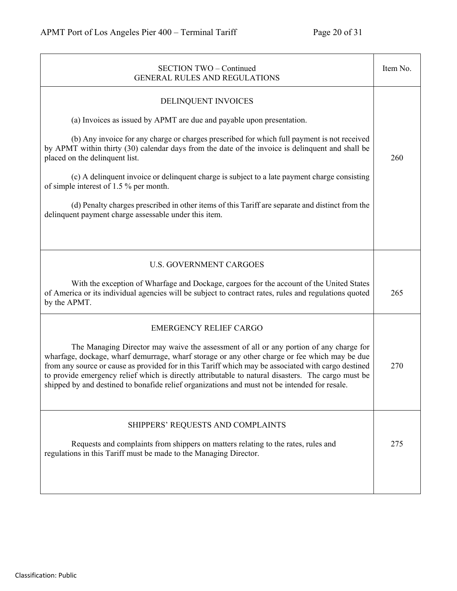| <b>SECTION TWO - Continued</b><br><b>GENERAL RULES AND REGULATIONS</b>                                                                                                                                                                                                                                                                                                                                                                                                                                | Item No. |
|-------------------------------------------------------------------------------------------------------------------------------------------------------------------------------------------------------------------------------------------------------------------------------------------------------------------------------------------------------------------------------------------------------------------------------------------------------------------------------------------------------|----------|
| DELINQUENT INVOICES                                                                                                                                                                                                                                                                                                                                                                                                                                                                                   |          |
| (a) Invoices as issued by APMT are due and payable upon presentation.                                                                                                                                                                                                                                                                                                                                                                                                                                 |          |
| (b) Any invoice for any charge or charges prescribed for which full payment is not received<br>by APMT within thirty (30) calendar days from the date of the invoice is delinquent and shall be<br>placed on the delinquent list.                                                                                                                                                                                                                                                                     | 260      |
| (c) A delinquent invoice or delinquent charge is subject to a late payment charge consisting<br>of simple interest of 1.5 % per month.                                                                                                                                                                                                                                                                                                                                                                |          |
| (d) Penalty charges prescribed in other items of this Tariff are separate and distinct from the<br>delinquent payment charge assessable under this item.                                                                                                                                                                                                                                                                                                                                              |          |
|                                                                                                                                                                                                                                                                                                                                                                                                                                                                                                       |          |
| <b>U.S. GOVERNMENT CARGOES</b>                                                                                                                                                                                                                                                                                                                                                                                                                                                                        |          |
| With the exception of Wharfage and Dockage, cargoes for the account of the United States<br>of America or its individual agencies will be subject to contract rates, rules and regulations quoted<br>by the APMT.                                                                                                                                                                                                                                                                                     | 265      |
| <b>EMERGENCY RELIEF CARGO</b>                                                                                                                                                                                                                                                                                                                                                                                                                                                                         |          |
| The Managing Director may waive the assessment of all or any portion of any charge for<br>wharfage, dockage, wharf demurrage, wharf storage or any other charge or fee which may be due<br>from any source or cause as provided for in this Tariff which may be associated with cargo destined<br>to provide emergency relief which is directly attributable to natural disasters. The cargo must be<br>shipped by and destined to bonafide relief organizations and must not be intended for resale. | 270      |
| SHIPPERS' REQUESTS AND COMPLAINTS                                                                                                                                                                                                                                                                                                                                                                                                                                                                     |          |
| Requests and complaints from shippers on matters relating to the rates, rules and<br>regulations in this Tariff must be made to the Managing Director.                                                                                                                                                                                                                                                                                                                                                | 275      |
|                                                                                                                                                                                                                                                                                                                                                                                                                                                                                                       |          |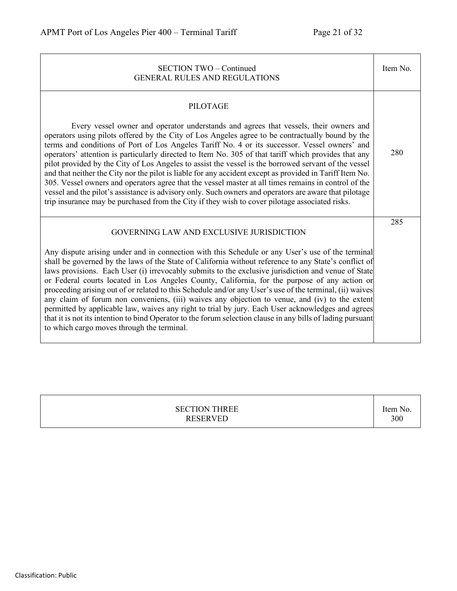| <b>SECTION TWO - Continued</b><br><b>GENERAL RULES AND REGULATIONS</b>                                                                                                                                                                                                                                                                                                                                                                                                                                                                                                                                                                                                                                                                                                                                                                                                                                                                                       | Item No. |
|--------------------------------------------------------------------------------------------------------------------------------------------------------------------------------------------------------------------------------------------------------------------------------------------------------------------------------------------------------------------------------------------------------------------------------------------------------------------------------------------------------------------------------------------------------------------------------------------------------------------------------------------------------------------------------------------------------------------------------------------------------------------------------------------------------------------------------------------------------------------------------------------------------------------------------------------------------------|----------|
| <b>PILOTAGE</b><br>Every vessel owner and operator understands and agrees that vessels, their owners and<br>operators using pilots offered by the City of Los Angeles agree to be contractually bound by the<br>terms and conditions of Port of Los Angeles Tariff No. 4 or its successor. Vessel owners' and<br>operators' attention is particularly directed to Item No. 305 of that tariff which provides that any<br>pilot provided by the City of Los Angeles to assist the vessel is the borrowed servant of the vessel<br>and that neither the City nor the pilot is liable for any accident except as provided in Tariff Item No.<br>305. Vessel owners and operators agree that the vessel master at all times remains in control of the<br>vessel and the pilot's assistance is advisory only. Such owners and operators are aware that pilotage<br>trip insurance may be purchased from the City if they wish to cover pilotage associated risks. | 280      |
| GOVERNING LAW AND EXCLUSIVE JURISDICTION<br>Any dispute arising under and in connection with this Schedule or any User's use of the terminal<br>shall be governed by the laws of the State of California without reference to any State's conflict of<br>laws provisions. Each User (i) irrevocably submits to the exclusive jurisdiction and venue of State<br>or Federal courts located in Los Angeles County, California, for the purpose of any action or<br>proceeding arising out of or related to this Schedule and/or any User's use of the terminal, (ii) waives<br>any claim of forum non conveniens, (iii) waives any objection to venue, and (iv) to the extent<br>permitted by applicable law, waives any right to trial by jury. Each User acknowledges and agrees<br>that it is not its intention to bind Operator to the forum selection clause in any bills of lading pursuant<br>to which cargo moves through the terminal.                | 285      |

| <b>SECTION THREE</b><br><b>RESERVED</b> | Item No.<br>300 |
|-----------------------------------------|-----------------|
|                                         |                 |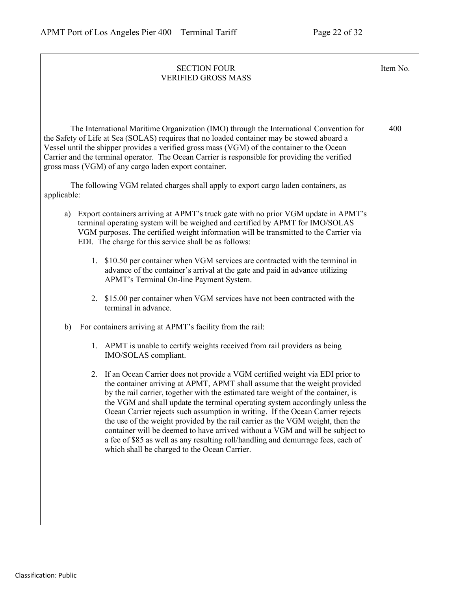| <b>SECTION FOUR</b><br><b>VERIFIED GROSS MASS</b>                                                                                                                                                                                                                                                                                                                                                                                                                                                                                                                                                                                                                                                                                                                                                                                                                                                                                                                                                                                                                                                                                                                | Item No. |
|------------------------------------------------------------------------------------------------------------------------------------------------------------------------------------------------------------------------------------------------------------------------------------------------------------------------------------------------------------------------------------------------------------------------------------------------------------------------------------------------------------------------------------------------------------------------------------------------------------------------------------------------------------------------------------------------------------------------------------------------------------------------------------------------------------------------------------------------------------------------------------------------------------------------------------------------------------------------------------------------------------------------------------------------------------------------------------------------------------------------------------------------------------------|----------|
| The International Maritime Organization (IMO) through the International Convention for<br>the Safety of Life at Sea (SOLAS) requires that no loaded container may be stowed aboard a<br>Vessel until the shipper provides a verified gross mass (VGM) of the container to the Ocean<br>Carrier and the terminal operator. The Ocean Carrier is responsible for providing the verified<br>gross mass (VGM) of any cargo laden export container.<br>The following VGM related charges shall apply to export cargo laden containers, as<br>applicable:                                                                                                                                                                                                                                                                                                                                                                                                                                                                                                                                                                                                              | 400      |
| Export containers arriving at APMT's truck gate with no prior VGM update in APMT's<br>a)<br>terminal operating system will be weighed and certified by APMT for IMO/SOLAS<br>VGM purposes. The certified weight information will be transmitted to the Carrier via<br>EDI. The charge for this service shall be as follows:<br>1. \$10.50 per container when VGM services are contracted with the terminal in<br>advance of the container's arrival at the gate and paid in advance utilizing<br>APMT's Terminal On-line Payment System.<br>2. \$15.00 per container when VGM services have not been contracted with the<br>terminal in advance.<br>For containers arriving at APMT's facility from the rail:<br>b)<br>1. APMT is unable to certify weights received from rail providers as being<br>IMO/SOLAS compliant.<br>2. If an Ocean Carrier does not provide a VGM certified weight via EDI prior to<br>the container arriving at APMT, APMT shall assume that the weight provided<br>by the rail carrier, together with the estimated tare weight of the container, is<br>the VGM and shall update the terminal operating system accordingly unless the |          |
| Ocean Carrier rejects such assumption in writing. If the Ocean Carrier rejects<br>the use of the weight provided by the rail carrier as the VGM weight, then the<br>container will be deemed to have arrived without a VGM and will be subject to<br>a fee of \$85 as well as any resulting roll/handling and demurrage fees, each of<br>which shall be charged to the Ocean Carrier.                                                                                                                                                                                                                                                                                                                                                                                                                                                                                                                                                                                                                                                                                                                                                                            |          |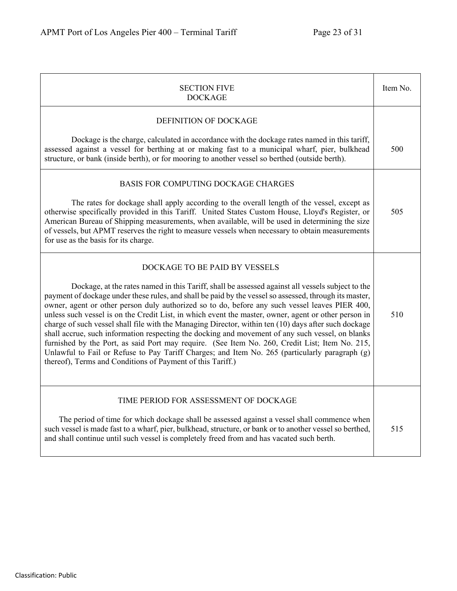| <b>SECTION FIVE</b><br><b>DOCKAGE</b>                                                                                                                                                                                                                                                                                                                                                                                                                                                                                                                                                                                                                                                                                                                                                                                                                                                                                               | Item No. |
|-------------------------------------------------------------------------------------------------------------------------------------------------------------------------------------------------------------------------------------------------------------------------------------------------------------------------------------------------------------------------------------------------------------------------------------------------------------------------------------------------------------------------------------------------------------------------------------------------------------------------------------------------------------------------------------------------------------------------------------------------------------------------------------------------------------------------------------------------------------------------------------------------------------------------------------|----------|
| DEFINITION OF DOCKAGE                                                                                                                                                                                                                                                                                                                                                                                                                                                                                                                                                                                                                                                                                                                                                                                                                                                                                                               |          |
| Dockage is the charge, calculated in accordance with the dockage rates named in this tariff,<br>assessed against a vessel for berthing at or making fast to a municipal wharf, pier, bulkhead<br>structure, or bank (inside berth), or for mooring to another vessel so berthed (outside berth).                                                                                                                                                                                                                                                                                                                                                                                                                                                                                                                                                                                                                                    | 500      |
| BASIS FOR COMPUTING DOCKAGE CHARGES<br>The rates for dockage shall apply according to the overall length of the vessel, except as<br>otherwise specifically provided in this Tariff. United States Custom House, Lloyd's Register, or<br>American Bureau of Shipping measurements, when available, will be used in determining the size<br>of vessels, but APMT reserves the right to measure vessels when necessary to obtain measurements<br>for use as the basis for its charge.                                                                                                                                                                                                                                                                                                                                                                                                                                                 | 505      |
| DOCKAGE TO BE PAID BY VESSELS<br>Dockage, at the rates named in this Tariff, shall be assessed against all vessels subject to the<br>payment of dockage under these rules, and shall be paid by the vessel so assessed, through its master,<br>owner, agent or other person duly authorized so to do, before any such vessel leaves PIER 400,<br>unless such vessel is on the Credit List, in which event the master, owner, agent or other person in<br>charge of such vessel shall file with the Managing Director, within ten (10) days after such dockage<br>shall accrue, such information respecting the docking and movement of any such vessel, on blanks<br>furnished by the Port, as said Port may require. (See Item No. 260, Credit List; Item No. 215,<br>Unlawful to Fail or Refuse to Pay Tariff Charges; and Item No. 265 (particularly paragraph (g)<br>thereof), Terms and Conditions of Payment of this Tariff.) | 510      |
| TIME PERIOD FOR ASSESSMENT OF DOCKAGE<br>The period of time for which dockage shall be assessed against a vessel shall commence when<br>such vessel is made fast to a wharf, pier, bulkhead, structure, or bank or to another vessel so berthed,<br>and shall continue until such vessel is completely freed from and has vacated such berth.                                                                                                                                                                                                                                                                                                                                                                                                                                                                                                                                                                                       | 515      |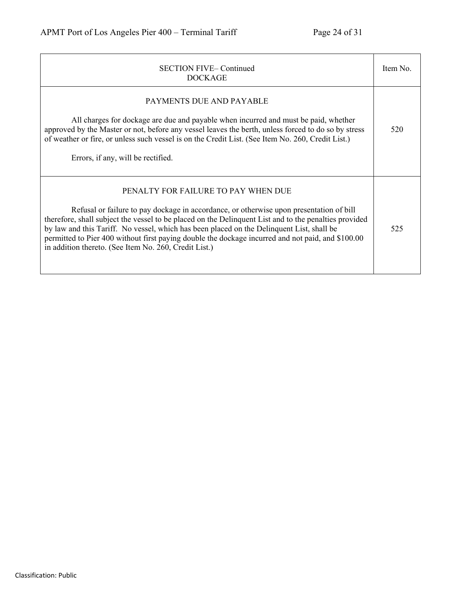| <b>SECTION FIVE-Continued</b><br><b>DOCKAGE</b>                                                                                                                                                                                                                                                                                                                                                                                                                                                    | Item No. |
|----------------------------------------------------------------------------------------------------------------------------------------------------------------------------------------------------------------------------------------------------------------------------------------------------------------------------------------------------------------------------------------------------------------------------------------------------------------------------------------------------|----------|
| PAYMENTS DUE AND PAYABLE<br>All charges for dockage are due and payable when incurred and must be paid, whether<br>approved by the Master or not, before any vessel leaves the berth, unless forced to do so by stress<br>of weather or fire, or unless such vessel is on the Credit List. (See Item No. 260, Credit List.)<br>Errors, if any, will be rectified.                                                                                                                                  | 520      |
| PENALTY FOR FAILURE TO PAY WHEN DUE<br>Refusal or failure to pay dockage in accordance, or otherwise upon presentation of bill<br>therefore, shall subject the vessel to be placed on the Delinquent List and to the penalties provided<br>by law and this Tariff. No vessel, which has been placed on the Delinquent List, shall be<br>permitted to Pier 400 without first paying double the dockage incurred and not paid, and \$100.00<br>in addition thereto. (See Item No. 260, Credit List.) | 525      |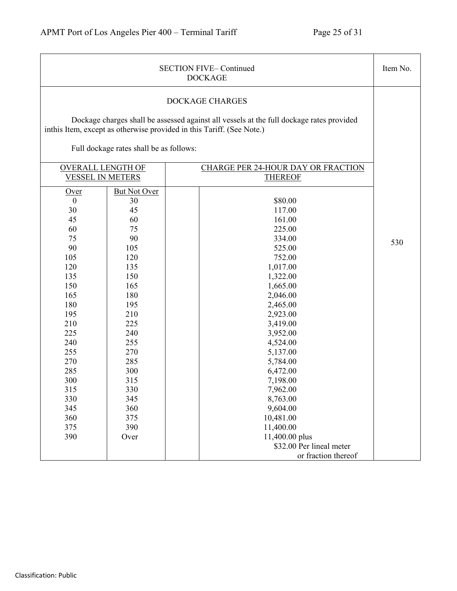|                                                                                                                                                                                                |                                                                                                                                                                                                       | <b>SECTION FIVE-Continued</b><br><b>DOCKAGE</b>                                                                                                                                                                                                                                                                                                                    | Item No. |
|------------------------------------------------------------------------------------------------------------------------------------------------------------------------------------------------|-------------------------------------------------------------------------------------------------------------------------------------------------------------------------------------------------------|--------------------------------------------------------------------------------------------------------------------------------------------------------------------------------------------------------------------------------------------------------------------------------------------------------------------------------------------------------------------|----------|
|                                                                                                                                                                                                |                                                                                                                                                                                                       | <b>DOCKAGE CHARGES</b><br>Dockage charges shall be assessed against all vessels at the full dockage rates provided<br>inthis Item, except as otherwise provided in this Tariff. (See Note.)                                                                                                                                                                        |          |
|                                                                                                                                                                                                | Full dockage rates shall be as follows:                                                                                                                                                               |                                                                                                                                                                                                                                                                                                                                                                    |          |
| <b>OVERALL LENGTH OF</b><br><b>VESSEL IN METERS</b>                                                                                                                                            |                                                                                                                                                                                                       | <b>CHARGE PER 24-HOUR DAY OR FRACTION</b><br><b>THEREOF</b>                                                                                                                                                                                                                                                                                                        |          |
| Over<br>$\mathbf{0}$<br>30<br>45<br>60<br>75<br>90<br>105<br>120<br>135<br>150<br>165<br>180<br>195<br>210<br>225<br>240<br>255<br>270<br>285<br>300<br>315<br>330<br>345<br>360<br>375<br>390 | <b>But Not Over</b><br>30<br>45<br>60<br>75<br>90<br>105<br>120<br>135<br>150<br>165<br>180<br>195<br>210<br>225<br>240<br>255<br>270<br>285<br>300<br>315<br>330<br>345<br>360<br>375<br>390<br>Over | \$80.00<br>117.00<br>161.00<br>225.00<br>334.00<br>525.00<br>752.00<br>1,017.00<br>1,322.00<br>1,665.00<br>2,046.00<br>2,465.00<br>2,923.00<br>3,419.00<br>3,952.00<br>4,524.00<br>5,137.00<br>5,784.00<br>6,472.00<br>7,198.00<br>7,962.00<br>8,763.00<br>9,604.00<br>10,481.00<br>11,400.00<br>11,400.00 plus<br>\$32.00 Per lineal meter<br>or fraction thereof | 530      |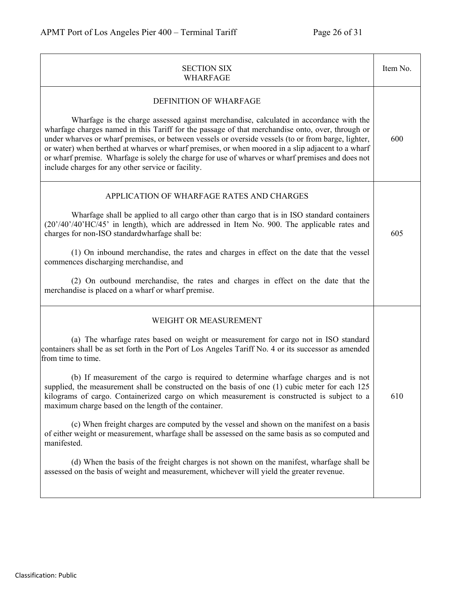| <b>SECTION SIX</b><br><b>WHARFAGE</b>                                                                                                                                                                                                                                                                                                                                                                                                                                                                                                                                                                                                                                                                                                                                                                                                                                                                                                                                                                  | Item No. |
|--------------------------------------------------------------------------------------------------------------------------------------------------------------------------------------------------------------------------------------------------------------------------------------------------------------------------------------------------------------------------------------------------------------------------------------------------------------------------------------------------------------------------------------------------------------------------------------------------------------------------------------------------------------------------------------------------------------------------------------------------------------------------------------------------------------------------------------------------------------------------------------------------------------------------------------------------------------------------------------------------------|----------|
| DEFINITION OF WHARFAGE<br>Wharfage is the charge assessed against merchandise, calculated in accordance with the<br>wharfage charges named in this Tariff for the passage of that merchandise onto, over, through or<br>under wharves or wharf premises, or between vessels or overside vessels (to or from barge, lighter,<br>or water) when berthed at wharves or wharf premises, or when moored in a slip adjacent to a wharf<br>or wharf premise. Wharfage is solely the charge for use of wharves or wharf premises and does not<br>include charges for any other service or facility.                                                                                                                                                                                                                                                                                                                                                                                                            | 600      |
| APPLICATION OF WHARFAGE RATES AND CHARGES<br>Wharfage shall be applied to all cargo other than cargo that is in ISO standard containers<br>(20'/40'/40'HC/45' in length), which are addressed in Item No. 900. The applicable rates and<br>charges for non-ISO standardwharfage shall be:<br>(1) On inbound merchandise, the rates and charges in effect on the date that the vessel<br>commences discharging merchandise, and<br>(2) On outbound merchandise, the rates and charges in effect on the date that the<br>merchandise is placed on a wharf or wharf premise.                                                                                                                                                                                                                                                                                                                                                                                                                              | 605      |
| WEIGHT OR MEASUREMENT<br>(a) The wharfage rates based on weight or measurement for cargo not in ISO standard<br>containers shall be as set forth in the Port of Los Angeles Tariff No. 4 or its successor as amended<br>from time to time.<br>(b) If measurement of the cargo is required to determine wharfage charges and is not<br>supplied, the measurement shall be constructed on the basis of one (1) cubic meter for each 125<br>kilograms of cargo. Containerized cargo on which measurement is constructed is subject to a<br>maximum charge based on the length of the container.<br>(c) When freight charges are computed by the vessel and shown on the manifest on a basis<br>of either weight or measurement, wharfage shall be assessed on the same basis as so computed and<br>manifested.<br>(d) When the basis of the freight charges is not shown on the manifest, wharfage shall be<br>assessed on the basis of weight and measurement, whichever will yield the greater revenue. | 610      |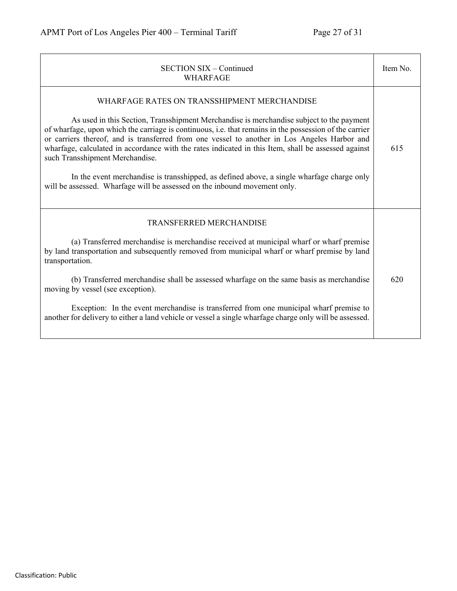| <b>SECTION SIX - Continued</b><br><b>WHARFAGE</b>                                                                                                                                                                                                                                                                                                                                                                                                                                                                                                                                                                                                                     | Item No. |
|-----------------------------------------------------------------------------------------------------------------------------------------------------------------------------------------------------------------------------------------------------------------------------------------------------------------------------------------------------------------------------------------------------------------------------------------------------------------------------------------------------------------------------------------------------------------------------------------------------------------------------------------------------------------------|----------|
| WHARFAGE RATES ON TRANSSHIPMENT MERCHANDISE<br>As used in this Section, Transshipment Merchandise is merchandise subject to the payment<br>of wharfage, upon which the carriage is continuous, i.e. that remains in the possession of the carrier<br>or carriers thereof, and is transferred from one vessel to another in Los Angeles Harbor and<br>wharfage, calculated in accordance with the rates indicated in this Item, shall be assessed against<br>such Transshipment Merchandise.<br>In the event merchandise is transshipped, as defined above, a single wharfage charge only<br>will be assessed. Wharfage will be assessed on the inbound movement only. | 615      |
| <b>TRANSFERRED MERCHANDISE</b><br>(a) Transferred merchandise is merchandise received at municipal wharf or wharf premise<br>by land transportation and subsequently removed from municipal wharf or wharf premise by land<br>transportation.<br>(b) Transferred merchandise shall be assessed wharfage on the same basis as merchandise<br>moving by vessel (see exception).<br>Exception: In the event merchandise is transferred from one municipal wharf premise to<br>another for delivery to either a land vehicle or vessel a single wharfage charge only will be assessed.                                                                                    | 620      |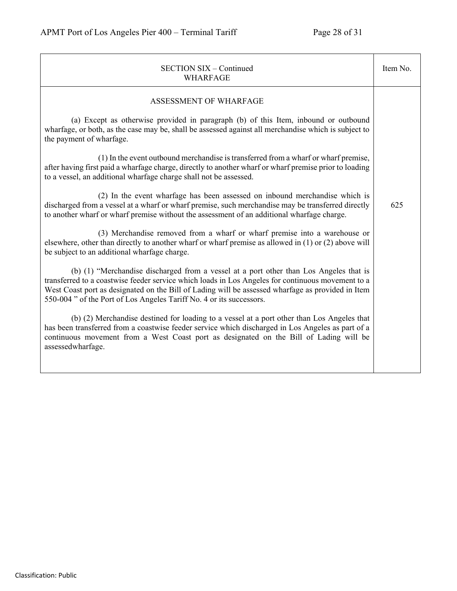| <b>SECTION SIX - Continued</b><br><b>WHARFAGE</b>                                                                                                                                                                                                                                                                                                                       | Item No. |
|-------------------------------------------------------------------------------------------------------------------------------------------------------------------------------------------------------------------------------------------------------------------------------------------------------------------------------------------------------------------------|----------|
| ASSESSMENT OF WHARFAGE                                                                                                                                                                                                                                                                                                                                                  |          |
| (a) Except as otherwise provided in paragraph (b) of this Item, inbound or outbound<br>wharfage, or both, as the case may be, shall be assessed against all merchandise which is subject to<br>the payment of wharfage.                                                                                                                                                 |          |
| (1) In the event outbound merchandise is transferred from a wharf or wharf premise,<br>after having first paid a wharfage charge, directly to another wharf or wharf premise prior to loading<br>to a vessel, an additional wharfage charge shall not be assessed.                                                                                                      |          |
| (2) In the event wharfage has been assessed on inbound merchandise which is<br>discharged from a vessel at a wharf or wharf premise, such merchandise may be transferred directly<br>to another wharf or wharf premise without the assessment of an additional wharfage charge.                                                                                         | 625      |
| (3) Merchandise removed from a wharf or wharf premise into a warehouse or<br>elsewhere, other than directly to another wharf or wharf premise as allowed in (1) or (2) above will<br>be subject to an additional wharfage charge.                                                                                                                                       |          |
| (b) (1) "Merchandise discharged from a vessel at a port other than Los Angeles that is<br>transferred to a coastwise feeder service which loads in Los Angeles for continuous movement to a<br>West Coast port as designated on the Bill of Lading will be assessed wharfage as provided in Item<br>550-004" of the Port of Los Angeles Tariff No. 4 or its successors. |          |
| (b) (2) Merchandise destined for loading to a vessel at a port other than Los Angeles that<br>has been transferred from a coastwise feeder service which discharged in Los Angeles as part of a<br>continuous movement from a West Coast port as designated on the Bill of Lading will be<br>assessedwharfage.                                                          |          |
|                                                                                                                                                                                                                                                                                                                                                                         |          |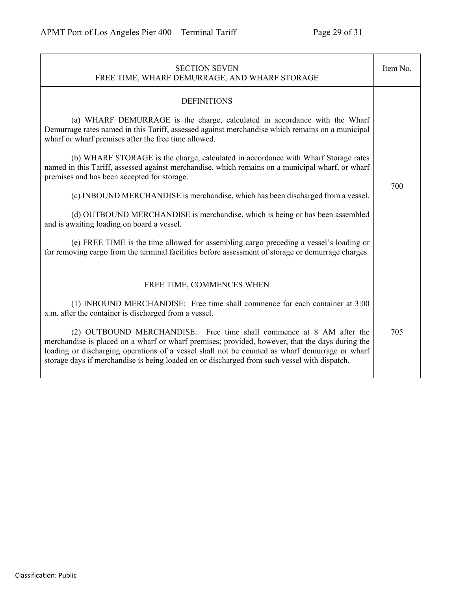| <b>SECTION SEVEN</b><br>FREE TIME, WHARF DEMURRAGE, AND WHARF STORAGE                                                                                                                                                                                                                                                                                                     | Item No. |
|---------------------------------------------------------------------------------------------------------------------------------------------------------------------------------------------------------------------------------------------------------------------------------------------------------------------------------------------------------------------------|----------|
| <b>DEFINITIONS</b>                                                                                                                                                                                                                                                                                                                                                        |          |
| (a) WHARF DEMURRAGE is the charge, calculated in accordance with the Wharf<br>Demurrage rates named in this Tariff, assessed against merchandise which remains on a municipal<br>wharf or wharf premises after the free time allowed.                                                                                                                                     |          |
| (b) WHARF STORAGE is the charge, calculated in accordance with Wharf Storage rates<br>named in this Tariff, assessed against merchandise, which remains on a municipal wharf, or wharf<br>premises and has been accepted for storage.                                                                                                                                     |          |
| (c) INBOUND MERCHANDISE is merchandise, which has been discharged from a vessel.                                                                                                                                                                                                                                                                                          | 700      |
| (d) OUTBOUND MERCHANDISE is merchandise, which is being or has been assembled<br>and is awaiting loading on board a vessel.                                                                                                                                                                                                                                               |          |
| (e) FREE TIME is the time allowed for assembling cargo preceding a vessel's loading or<br>for removing cargo from the terminal facilities before assessment of storage or demurrage charges.                                                                                                                                                                              |          |
| FREE TIME, COMMENCES WHEN                                                                                                                                                                                                                                                                                                                                                 |          |
| (1) INBOUND MERCHANDISE: Free time shall commence for each container at 3:00<br>a.m. after the container is discharged from a vessel.                                                                                                                                                                                                                                     |          |
| (2) OUTBOUND MERCHANDISE: Free time shall commence at 8 AM after the<br>merchandise is placed on a wharf or wharf premises; provided, however, that the days during the<br>loading or discharging operations of a vessel shall not be counted as wharf demurrage or wharf<br>storage days if merchandise is being loaded on or discharged from such vessel with dispatch. | 705      |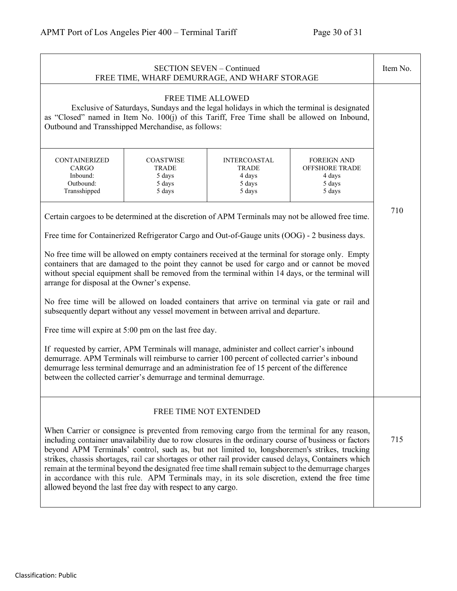÷,

| <b>SECTION SEVEN - Continued</b><br>FREE TIME, WHARF DEMURRAGE, AND WHARF STORAGE                                                                                                                                                                                                                                                                                                                                                                                                                                                                                                                                                                                                                                                                                                                                                                                                                                                                                                                                                                                                                                                                                                    |                                                                |                                                                                                                                                                                                                                                                                                                                                                                                                                                                                                                                                                                                                                                  | Item No.                                                                  |     |
|--------------------------------------------------------------------------------------------------------------------------------------------------------------------------------------------------------------------------------------------------------------------------------------------------------------------------------------------------------------------------------------------------------------------------------------------------------------------------------------------------------------------------------------------------------------------------------------------------------------------------------------------------------------------------------------------------------------------------------------------------------------------------------------------------------------------------------------------------------------------------------------------------------------------------------------------------------------------------------------------------------------------------------------------------------------------------------------------------------------------------------------------------------------------------------------|----------------------------------------------------------------|--------------------------------------------------------------------------------------------------------------------------------------------------------------------------------------------------------------------------------------------------------------------------------------------------------------------------------------------------------------------------------------------------------------------------------------------------------------------------------------------------------------------------------------------------------------------------------------------------------------------------------------------------|---------------------------------------------------------------------------|-----|
| <b>FREE TIME ALLOWED</b><br>Exclusive of Saturdays, Sundays and the legal holidays in which the terminal is designated<br>as "Closed" named in Item No. 100(j) of this Tariff, Free Time shall be allowed on Inbound,<br>Outbound and Transshipped Merchandise, as follows:                                                                                                                                                                                                                                                                                                                                                                                                                                                                                                                                                                                                                                                                                                                                                                                                                                                                                                          |                                                                |                                                                                                                                                                                                                                                                                                                                                                                                                                                                                                                                                                                                                                                  |                                                                           |     |
| CONTAINERIZED<br>CARGO<br>Inbound:<br>Outbound:<br>Transshipped                                                                                                                                                                                                                                                                                                                                                                                                                                                                                                                                                                                                                                                                                                                                                                                                                                                                                                                                                                                                                                                                                                                      | <b>COASTWISE</b><br><b>TRADE</b><br>5 days<br>5 days<br>5 days | <b>INTERCOASTAL</b><br><b>TRADE</b><br>4 days<br>5 days<br>5 days                                                                                                                                                                                                                                                                                                                                                                                                                                                                                                                                                                                | <b>FOREIGN AND</b><br><b>OFFSHORE TRADE</b><br>4 days<br>5 days<br>5 days |     |
| Certain cargoes to be determined at the discretion of APM Terminals may not be allowed free time.<br>Free time for Containerized Refrigerator Cargo and Out-of-Gauge units (OOG) - 2 business days.<br>No free time will be allowed on empty containers received at the terminal for storage only. Empty<br>containers that are damaged to the point they cannot be used for cargo and or cannot be moved<br>without special equipment shall be removed from the terminal within 14 days, or the terminal will<br>arrange for disposal at the Owner's expense.<br>No free time will be allowed on loaded containers that arrive on terminal via gate or rail and<br>subsequently depart without any vessel movement in between arrival and departure.<br>Free time will expire at 5:00 pm on the last free day.<br>If requested by carrier, APM Terminals will manage, administer and collect carrier's inbound<br>demurrage. APM Terminals will reimburse to carrier 100 percent of collected carrier's inbound<br>demurrage less terminal demurrage and an administration fee of 15 percent of the difference<br>between the collected carrier's demurrage and terminal demurrage. |                                                                |                                                                                                                                                                                                                                                                                                                                                                                                                                                                                                                                                                                                                                                  | 710                                                                       |     |
|                                                                                                                                                                                                                                                                                                                                                                                                                                                                                                                                                                                                                                                                                                                                                                                                                                                                                                                                                                                                                                                                                                                                                                                      | allowed beyond the last free day with respect to any cargo.    | FREE TIME NOT EXTENDED<br>When Carrier or consignee is prevented from removing cargo from the terminal for any reason,<br>including container unavailability due to row closures in the ordinary course of business or factors<br>beyond APM Terminals' control, such as, but not limited to, longshoremen's strikes, trucking<br>strikes, chassis shortages, rail car shortages or other rail provider caused delays, Containers which<br>remain at the terminal beyond the designated free time shall remain subject to the demurrage charges<br>in accordance with this rule. APM Terminals may, in its sole discretion, extend the free time |                                                                           | 715 |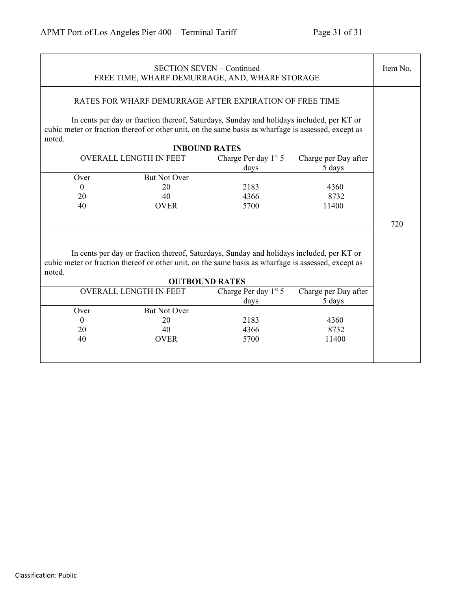| <b>SECTION SEVEN - Continued</b><br>FREE TIME, WHARF DEMURRAGE, AND, WHARF STORAGE                                                                                                                                                                                                           |                               |                              | Item No.                       |     |
|----------------------------------------------------------------------------------------------------------------------------------------------------------------------------------------------------------------------------------------------------------------------------------------------|-------------------------------|------------------------------|--------------------------------|-----|
| RATES FOR WHARF DEMURRAGE AFTER EXPIRATION OF FREE TIME<br>In cents per day or fraction thereof, Saturdays, Sunday and holidays included, per KT or<br>cubic meter or fraction thereof or other unit, on the same basis as wharfage is assessed, except as<br>noted.<br><b>INBOUND RATES</b> |                               |                              |                                |     |
|                                                                                                                                                                                                                                                                                              | <b>OVERALL LENGTH IN FEET</b> | Charge Per day $1st 5$       | Charge per Day after           |     |
|                                                                                                                                                                                                                                                                                              |                               | days                         | 5 days                         |     |
| Over                                                                                                                                                                                                                                                                                         | <b>But Not Over</b>           |                              |                                |     |
| $\mathbf{0}$                                                                                                                                                                                                                                                                                 | 20                            | 2183                         | 4360                           |     |
| 20                                                                                                                                                                                                                                                                                           | 40                            | 4366                         | 8732                           |     |
| 40                                                                                                                                                                                                                                                                                           | <b>OVER</b>                   | 5700                         | 11400                          |     |
|                                                                                                                                                                                                                                                                                              |                               |                              |                                | 720 |
| In cents per day or fraction thereof, Saturdays, Sunday and holidays included, per KT or<br>cubic meter or fraction thereof or other unit, on the same basis as wharfage is assessed, except as<br>noted.<br><b>OUTBOUND RATES</b>                                                           |                               |                              |                                |     |
|                                                                                                                                                                                                                                                                                              | <b>OVERALL LENGTH IN FEET</b> | Charge Per day 1st 5<br>days | Charge per Day after<br>5 days |     |
| Over                                                                                                                                                                                                                                                                                         | <b>But Not Over</b>           |                              |                                |     |
| $\Omega$                                                                                                                                                                                                                                                                                     | 20                            | 2183                         | 4360                           |     |
| 20                                                                                                                                                                                                                                                                                           | 40                            | 4366                         | 8732                           |     |
| 40                                                                                                                                                                                                                                                                                           | <b>OVER</b>                   | 5700                         | 11400                          |     |
|                                                                                                                                                                                                                                                                                              |                               |                              |                                |     |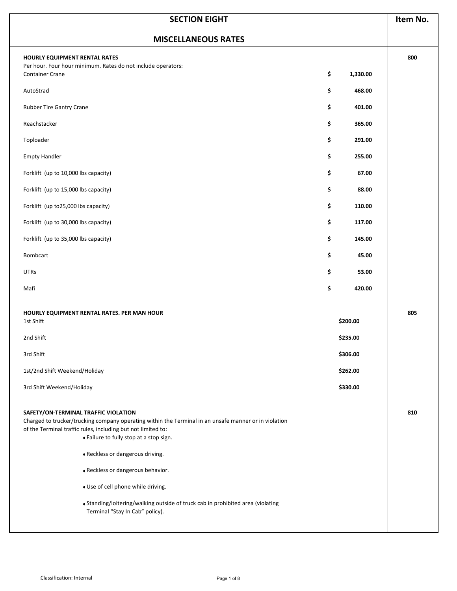| <b>MISCELLANEOUS RATES</b><br>HOURLY EQUIPMENT RENTAL RATES<br>Per hour. Four hour minimum. Rates do not include operators:<br><b>Container Crane</b><br>AutoStrad<br>Rubber Tire Gantry Crane<br>Reachstacker<br>Toploader<br><b>Empty Handler</b><br>Forklift (up to 10,000 lbs capacity)<br>Forklift (up to 15,000 lbs capacity)<br>Forklift (up to25,000 lbs capacity)                                                                                                                    | \$<br>\$ |          |     |
|-----------------------------------------------------------------------------------------------------------------------------------------------------------------------------------------------------------------------------------------------------------------------------------------------------------------------------------------------------------------------------------------------------------------------------------------------------------------------------------------------|----------|----------|-----|
|                                                                                                                                                                                                                                                                                                                                                                                                                                                                                               |          |          |     |
|                                                                                                                                                                                                                                                                                                                                                                                                                                                                                               |          | 1,330.00 | 800 |
|                                                                                                                                                                                                                                                                                                                                                                                                                                                                                               |          | 468.00   |     |
|                                                                                                                                                                                                                                                                                                                                                                                                                                                                                               | \$       | 401.00   |     |
|                                                                                                                                                                                                                                                                                                                                                                                                                                                                                               | \$       | 365.00   |     |
|                                                                                                                                                                                                                                                                                                                                                                                                                                                                                               | \$       | 291.00   |     |
|                                                                                                                                                                                                                                                                                                                                                                                                                                                                                               | \$       | 255.00   |     |
|                                                                                                                                                                                                                                                                                                                                                                                                                                                                                               | \$       | 67.00    |     |
|                                                                                                                                                                                                                                                                                                                                                                                                                                                                                               | \$       | 88.00    |     |
|                                                                                                                                                                                                                                                                                                                                                                                                                                                                                               | \$       | 110.00   |     |
| Forklift (up to 30,000 lbs capacity)                                                                                                                                                                                                                                                                                                                                                                                                                                                          | \$       | 117.00   |     |
| Forklift (up to 35,000 lbs capacity)                                                                                                                                                                                                                                                                                                                                                                                                                                                          | \$       | 145.00   |     |
| Bombcart                                                                                                                                                                                                                                                                                                                                                                                                                                                                                      | \$       | 45.00    |     |
| <b>UTRs</b>                                                                                                                                                                                                                                                                                                                                                                                                                                                                                   | \$       | 53.00    |     |
| Mafi                                                                                                                                                                                                                                                                                                                                                                                                                                                                                          | \$       | 420.00   |     |
| HOURLY EQUIPMENT RENTAL RATES. PER MAN HOUR<br>1st Shift                                                                                                                                                                                                                                                                                                                                                                                                                                      |          | \$200.00 | 805 |
| 2nd Shift                                                                                                                                                                                                                                                                                                                                                                                                                                                                                     |          | \$235.00 |     |
| 3rd Shift                                                                                                                                                                                                                                                                                                                                                                                                                                                                                     |          | \$306.00 |     |
| 1st/2nd Shift Weekend/Holiday                                                                                                                                                                                                                                                                                                                                                                                                                                                                 |          | \$262.00 |     |
| 3rd Shift Weekend/Holiday                                                                                                                                                                                                                                                                                                                                                                                                                                                                     |          | \$330.00 |     |
| SAFETY/ON-TERMINAL TRAFFIC VIOLATION<br>Charged to trucker/trucking company operating within the Terminal in an unsafe manner or in violation<br>of the Terminal traffic rules, including but not limited to:<br>. Failure to fully stop at a stop sign.<br>· Reckless or dangerous driving.<br>· Reckless or dangerous behavior.<br>· Use of cell phone while driving.<br>• Standing/loitering/walking outside of truck cab in prohibited area (violating<br>Terminal "Stay In Cab" policy). |          |          | 810 |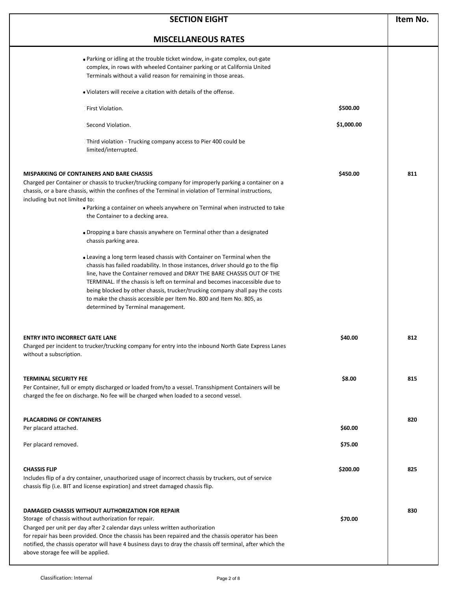| <b>SECTION EIGHT</b>                                                                                                                                                                                                                                                                                                                                                                                                                                                                                                                                                                                                                                                                                                                                                                                                                                                                                                                                                                                                                              |            |     |
|---------------------------------------------------------------------------------------------------------------------------------------------------------------------------------------------------------------------------------------------------------------------------------------------------------------------------------------------------------------------------------------------------------------------------------------------------------------------------------------------------------------------------------------------------------------------------------------------------------------------------------------------------------------------------------------------------------------------------------------------------------------------------------------------------------------------------------------------------------------------------------------------------------------------------------------------------------------------------------------------------------------------------------------------------|------------|-----|
| <b>MISCELLANEOUS RATES</b>                                                                                                                                                                                                                                                                                                                                                                                                                                                                                                                                                                                                                                                                                                                                                                                                                                                                                                                                                                                                                        |            |     |
| . Parking or idling at the trouble ticket window, in-gate complex, out-gate<br>complex, in rows with wheeled Container parking or at California United<br>Terminals without a valid reason for remaining in those areas.                                                                                                                                                                                                                                                                                                                                                                                                                                                                                                                                                                                                                                                                                                                                                                                                                          |            |     |
| • Violaters will receive a citation with details of the offense.                                                                                                                                                                                                                                                                                                                                                                                                                                                                                                                                                                                                                                                                                                                                                                                                                                                                                                                                                                                  |            |     |
| First Violation.                                                                                                                                                                                                                                                                                                                                                                                                                                                                                                                                                                                                                                                                                                                                                                                                                                                                                                                                                                                                                                  | \$500.00   |     |
| Second Violation.                                                                                                                                                                                                                                                                                                                                                                                                                                                                                                                                                                                                                                                                                                                                                                                                                                                                                                                                                                                                                                 | \$1,000.00 |     |
| Third violation - Trucking company access to Pier 400 could be<br>limited/interrupted.                                                                                                                                                                                                                                                                                                                                                                                                                                                                                                                                                                                                                                                                                                                                                                                                                                                                                                                                                            |            |     |
| <b>MISPARKING OF CONTAINERS AND BARE CHASSIS</b><br>Charged per Container or chassis to trucker/trucking company for improperly parking a container on a<br>chassis, or a bare chassis, within the confines of the Terminal in violation of Terminal instructions,<br>including but not limited to:<br>• Parking a container on wheels anywhere on Terminal when instructed to take<br>the Container to a decking area.<br>• Dropping a bare chassis anywhere on Terminal other than a designated<br>chassis parking area.<br>• Leaving a long term leased chassis with Container on Terminal when the<br>chassis has failed roadability. In those instances, driver should go to the flip<br>line, have the Container removed and DRAY THE BARE CHASSIS OUT OF THE<br>TERMINAL. If the chassis is left on terminal and becomes inaccessible due to<br>being blocked by other chassis, trucker/trucking company shall pay the costs<br>to make the chassis accessible per Item No. 800 and Item No. 805, as<br>determined by Terminal management. | \$450.00   | 811 |
| <b>ENTRY INTO INCORRECT GATE LANE</b><br>Charged per incident to trucker/trucking company for entry into the inbound North Gate Express Lanes<br>without a subscription.                                                                                                                                                                                                                                                                                                                                                                                                                                                                                                                                                                                                                                                                                                                                                                                                                                                                          | \$40.00    | 812 |
| <b>TERMINAL SECURITY FEE</b><br>Per Container, full or empty discharged or loaded from/to a vessel. Transshipment Containers will be<br>charged the fee on discharge. No fee will be charged when loaded to a second vessel.                                                                                                                                                                                                                                                                                                                                                                                                                                                                                                                                                                                                                                                                                                                                                                                                                      | \$8.00     | 815 |
| <b>PLACARDING OF CONTAINERS</b><br>Per placard attached.                                                                                                                                                                                                                                                                                                                                                                                                                                                                                                                                                                                                                                                                                                                                                                                                                                                                                                                                                                                          | \$60.00    | 820 |
| Per placard removed.                                                                                                                                                                                                                                                                                                                                                                                                                                                                                                                                                                                                                                                                                                                                                                                                                                                                                                                                                                                                                              | \$75.00    |     |
| <b>CHASSIS FLIP</b><br>Includes flip of a dry container, unauthorized usage of incorrect chassis by truckers, out of service<br>chassis flip (i.e. BIT and license expiration) and street damaged chassis flip.                                                                                                                                                                                                                                                                                                                                                                                                                                                                                                                                                                                                                                                                                                                                                                                                                                   | \$200.00   | 825 |
| <b>DAMAGED CHASSIS WITHOUT AUTHORIZATION FOR REPAIR</b><br>Storage of chassis without authorization for repair.<br>Charged per unit per day after 2 calendar days unless written authorization<br>for repair has been provided. Once the chassis has been repaired and the chassis operator has been<br>notified, the chassis operator will have 4 business days to dray the chassis off terminal, after which the<br>above storage fee will be applied.                                                                                                                                                                                                                                                                                                                                                                                                                                                                                                                                                                                          | \$70.00    | 830 |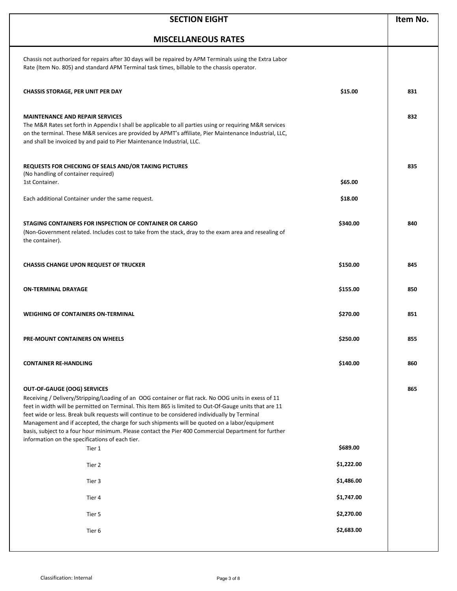| <b>SECTION EIGHT</b>                                                                                                                                                                                                                                                                                                                                                                                                                                                                                                                                                                                                |            | Item No. |
|---------------------------------------------------------------------------------------------------------------------------------------------------------------------------------------------------------------------------------------------------------------------------------------------------------------------------------------------------------------------------------------------------------------------------------------------------------------------------------------------------------------------------------------------------------------------------------------------------------------------|------------|----------|
| <b>MISCELLANEOUS RATES</b>                                                                                                                                                                                                                                                                                                                                                                                                                                                                                                                                                                                          |            |          |
| Chassis not authorized for repairs after 30 days will be repaired by APM Terminals using the Extra Labor<br>Rate (Item No. 805) and standard APM Terminal task times, billable to the chassis operator.                                                                                                                                                                                                                                                                                                                                                                                                             |            |          |
| <b>CHASSIS STORAGE, PER UNIT PER DAY</b>                                                                                                                                                                                                                                                                                                                                                                                                                                                                                                                                                                            | \$15.00    | 831      |
| <b>MAINTENANCE AND REPAIR SERVICES</b><br>The M&R Rates set forth in Appendix I shall be applicable to all parties using or requiring M&R services<br>on the terminal. These M&R services are provided by APMT's affiliate, Pier Maintenance Industrial, LLC,<br>and shall be invoiced by and paid to Pier Maintenance Industrial, LLC.                                                                                                                                                                                                                                                                             |            | 832      |
| REQUESTS FOR CHECKING OF SEALS AND/OR TAKING PICTURES<br>(No handling of container required)                                                                                                                                                                                                                                                                                                                                                                                                                                                                                                                        |            | 835      |
| 1st Container.                                                                                                                                                                                                                                                                                                                                                                                                                                                                                                                                                                                                      | \$65.00    |          |
| Each additional Container under the same request.                                                                                                                                                                                                                                                                                                                                                                                                                                                                                                                                                                   | \$18.00    |          |
| STAGING CONTAINERS FOR INSPECTION OF CONTAINER OR CARGO<br>(Non-Government related. Includes cost to take from the stack, dray to the exam area and resealing of<br>the container).                                                                                                                                                                                                                                                                                                                                                                                                                                 | \$340.00   | 840      |
| <b>CHASSIS CHANGE UPON REQUEST OF TRUCKER</b>                                                                                                                                                                                                                                                                                                                                                                                                                                                                                                                                                                       | \$150.00   | 845      |
| <b>ON-TERMINAL DRAYAGE</b>                                                                                                                                                                                                                                                                                                                                                                                                                                                                                                                                                                                          | \$155.00   | 850      |
| <b>WEIGHING OF CONTAINERS ON-TERMINAL</b>                                                                                                                                                                                                                                                                                                                                                                                                                                                                                                                                                                           | \$270.00   | 851      |
| <b>PRE-MOUNT CONTAINERS ON WHEELS</b>                                                                                                                                                                                                                                                                                                                                                                                                                                                                                                                                                                               | \$250.00   | 855      |
| <b>CONTAINER RE-HANDLING</b>                                                                                                                                                                                                                                                                                                                                                                                                                                                                                                                                                                                        | \$140.00   | 860      |
| <b>OUT-OF-GAUGE (OOG) SERVICES</b><br>Receiving / Delivery/Stripping/Loading of an OOG container or flat rack. No OOG units in exess of 11<br>feet in width will be permitted on Terminal. This Item 865 is limited to Out-Of-Gauge units that are 11<br>feet wide or less. Break bulk requests will continue to be considered individually by Terminal<br>Management and if accepted, the charge for such shipments will be quoted on a labor/equipment<br>basis, subject to a four hour minimum. Please contact the Pier 400 Commercial Department for further<br>information on the specifications of each tier. |            | 865      |
| Tier 1                                                                                                                                                                                                                                                                                                                                                                                                                                                                                                                                                                                                              | \$689.00   |          |
| Tier 2                                                                                                                                                                                                                                                                                                                                                                                                                                                                                                                                                                                                              | \$1,222.00 |          |
| Tier 3                                                                                                                                                                                                                                                                                                                                                                                                                                                                                                                                                                                                              | \$1,486.00 |          |
| Tier 4                                                                                                                                                                                                                                                                                                                                                                                                                                                                                                                                                                                                              | \$1,747.00 |          |
| Tier 5                                                                                                                                                                                                                                                                                                                                                                                                                                                                                                                                                                                                              | \$2,270.00 |          |
| Tier 6                                                                                                                                                                                                                                                                                                                                                                                                                                                                                                                                                                                                              | \$2,683.00 |          |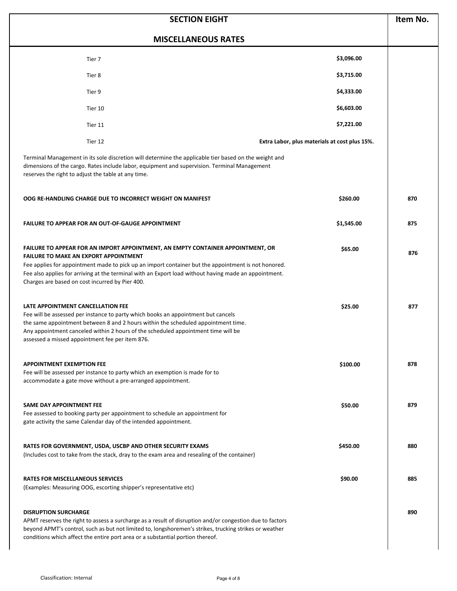| <b>SECTION EIGHT</b>                                                                                                                                                                                                                                                                                                                                                                                      |                                               | Item No. |
|-----------------------------------------------------------------------------------------------------------------------------------------------------------------------------------------------------------------------------------------------------------------------------------------------------------------------------------------------------------------------------------------------------------|-----------------------------------------------|----------|
| <b>MISCELLANEOUS RATES</b>                                                                                                                                                                                                                                                                                                                                                                                |                                               |          |
| Tier 7                                                                                                                                                                                                                                                                                                                                                                                                    | \$3,096.00                                    |          |
| Tier 8                                                                                                                                                                                                                                                                                                                                                                                                    | \$3,715.00                                    |          |
| Tier 9                                                                                                                                                                                                                                                                                                                                                                                                    | \$4,333.00                                    |          |
| Tier 10                                                                                                                                                                                                                                                                                                                                                                                                   | \$6,603.00                                    |          |
| Tier 11                                                                                                                                                                                                                                                                                                                                                                                                   | \$7,221.00                                    |          |
| Tier 12                                                                                                                                                                                                                                                                                                                                                                                                   | Extra Labor, plus materials at cost plus 15%. |          |
| Terminal Management in its sole discretion will determine the applicable tier based on the weight and<br>dimensions of the cargo. Rates include labor, equipment and supervision. Terminal Management<br>reserves the right to adjust the table at any time.                                                                                                                                              |                                               |          |
| OOG RE-HANDLING CHARGE DUE TO INCORRECT WEIGHT ON MANIFEST                                                                                                                                                                                                                                                                                                                                                | \$260.00                                      | 870      |
| <b>FAILURE TO APPEAR FOR AN OUT-OF-GAUGE APPOINTMENT</b>                                                                                                                                                                                                                                                                                                                                                  | \$1,545.00                                    | 875      |
| <b>FAILURE TO APPEAR FOR AN IMPORT APPOINTMENT, AN EMPTY CONTAINER APPOINTMENT, OR</b><br><b>FAILURE TO MAKE AN EXPORT APPOINTMENT</b><br>Fee applies for appointment made to pick up an import container but the appointment is not honored.<br>Fee also applies for arriving at the terminal with an Export load without having made an appointment.<br>Charges are based on cost incurred by Pier 400. | \$65.00                                       | 876      |
| LATE APPOINTMENT CANCELLATION FEE<br>Fee will be assessed per instance to party which books an appointment but cancels<br>the same appointment between 8 and 2 hours within the scheduled appointment time.<br>Any appointment canceled within 2 hours of the scheduled appointment time will be<br>assessed a missed appointment fee per item 876.                                                       | \$25.00                                       | 877      |
| <b>APPOINTMENT EXEMPTION FEE</b><br>Fee will be assessed per instance to party which an exemption is made for to<br>accommodate a gate move without a pre-arranged appointment.                                                                                                                                                                                                                           | \$100.00                                      | 878      |
| <b>SAME DAY APPOINTMENT FEE</b><br>Fee assessed to booking party per appointment to schedule an appointment for<br>gate activity the same Calendar day of the intended appointment.                                                                                                                                                                                                                       | \$50.00                                       | 879      |
| RATES FOR GOVERNMENT, USDA, USCBP AND OTHER SECURITY EXAMS<br>(Includes cost to take from the stack, dray to the exam area and resealing of the container)                                                                                                                                                                                                                                                | \$450.00                                      | 880      |
| <b>RATES FOR MISCELLANEOUS SERVICES</b><br>(Examples: Measuring OOG, escorting shipper's representative etc)                                                                                                                                                                                                                                                                                              | \$90.00                                       | 885      |
| <b>DISRUPTION SURCHARGE</b><br>APMT reserves the right to assess a surcharge as a result of disruption and/or congestion due to factors<br>beyond APMT's control, such as but not limited to, longshoremen's strikes, trucking strikes or weather<br>conditions which affect the entire port area or a substantial portion thereof.                                                                       |                                               | 890      |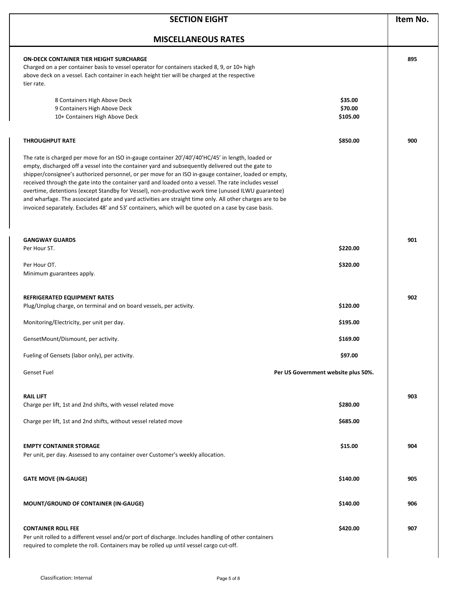| <b>SECTION EIGHT</b>                                                                                                                                                                                                                                                                                                                                                                                                                                                                                                                                                                                                                                                                                                                              |                                     | Item No. |
|---------------------------------------------------------------------------------------------------------------------------------------------------------------------------------------------------------------------------------------------------------------------------------------------------------------------------------------------------------------------------------------------------------------------------------------------------------------------------------------------------------------------------------------------------------------------------------------------------------------------------------------------------------------------------------------------------------------------------------------------------|-------------------------------------|----------|
| <b>MISCELLANEOUS RATES</b>                                                                                                                                                                                                                                                                                                                                                                                                                                                                                                                                                                                                                                                                                                                        |                                     |          |
| ON-DECK CONTAINER TIER HEIGHT SURCHARGE<br>Charged on a per container basis to vessel operator for containers stacked 8, 9, or 10+ high<br>above deck on a vessel. Each container in each height tier will be charged at the respective<br>tier rate.<br>8 Containers High Above Deck                                                                                                                                                                                                                                                                                                                                                                                                                                                             | \$35.00                             | 895      |
| 9 Containers High Above Deck<br>10+ Containers High Above Deck                                                                                                                                                                                                                                                                                                                                                                                                                                                                                                                                                                                                                                                                                    | \$70.00<br>\$105.00                 |          |
| <b>THROUGHPUT RATE</b>                                                                                                                                                                                                                                                                                                                                                                                                                                                                                                                                                                                                                                                                                                                            | \$850.00                            | 900      |
| The rate is charged per move for an ISO in-gauge container 20'/40'/40'HC/45' in length, loaded or<br>empty, discharged off a vessel into the container yard and subsequently delivered out the gate to<br>shipper/consignee's authorized personnel, or per move for an ISO in-gauge container, loaded or empty,<br>received through the gate into the container yard and loaded onto a vessel. The rate includes vessel<br>overtime, detentions (except Standby for Vessel), non-productive work time (unused ILWU guarantee)<br>and wharfage. The associated gate and yard activities are straight time only. All other charges are to be<br>invoiced separately. Excludes 48' and 53' containers, which will be quoted on a case by case basis. |                                     |          |
| <b>GANGWAY GUARDS</b><br>Per Hour ST.                                                                                                                                                                                                                                                                                                                                                                                                                                                                                                                                                                                                                                                                                                             | \$220.00                            | 901      |
| Per Hour OT.<br>Minimum guarantees apply.                                                                                                                                                                                                                                                                                                                                                                                                                                                                                                                                                                                                                                                                                                         | \$320.00                            |          |
| REFRIGERATED EQUIPMENT RATES<br>Plug/Unplug charge, on terminal and on board vessels, per activity.                                                                                                                                                                                                                                                                                                                                                                                                                                                                                                                                                                                                                                               | \$120.00                            | 902      |
| Monitoring/Electricity, per unit per day.                                                                                                                                                                                                                                                                                                                                                                                                                                                                                                                                                                                                                                                                                                         | \$195.00                            |          |
| GensetMount/Dismount, per activity.                                                                                                                                                                                                                                                                                                                                                                                                                                                                                                                                                                                                                                                                                                               | \$169.00                            |          |
| Fueling of Gensets (labor only), per activity.                                                                                                                                                                                                                                                                                                                                                                                                                                                                                                                                                                                                                                                                                                    | \$97.00                             |          |
| <b>Genset Fuel</b>                                                                                                                                                                                                                                                                                                                                                                                                                                                                                                                                                                                                                                                                                                                                | Per US Government website plus 50%. |          |
| <b>RAIL LIFT</b><br>Charge per lift, 1st and 2nd shifts, with vessel related move                                                                                                                                                                                                                                                                                                                                                                                                                                                                                                                                                                                                                                                                 | \$280.00                            | 903      |
| Charge per lift, 1st and 2nd shifts, without vessel related move                                                                                                                                                                                                                                                                                                                                                                                                                                                                                                                                                                                                                                                                                  | \$685.00                            |          |
| <b>EMPTY CONTAINER STORAGE</b><br>Per unit, per day. Assessed to any container over Customer's weekly allocation.                                                                                                                                                                                                                                                                                                                                                                                                                                                                                                                                                                                                                                 | \$15.00                             | 904      |
| <b>GATE MOVE (IN-GAUGE)</b>                                                                                                                                                                                                                                                                                                                                                                                                                                                                                                                                                                                                                                                                                                                       | \$140.00                            | 905      |
| <b>MOUNT/GROUND OF CONTAINER (IN-GAUGE)</b>                                                                                                                                                                                                                                                                                                                                                                                                                                                                                                                                                                                                                                                                                                       | \$140.00                            | 906      |
| <b>CONTAINER ROLL FEE</b><br>Per unit rolled to a different vessel and/or port of discharge. Includes handling of other containers<br>required to complete the roll. Containers may be rolled up until vessel cargo cut-off.                                                                                                                                                                                                                                                                                                                                                                                                                                                                                                                      | \$420.00                            | 907      |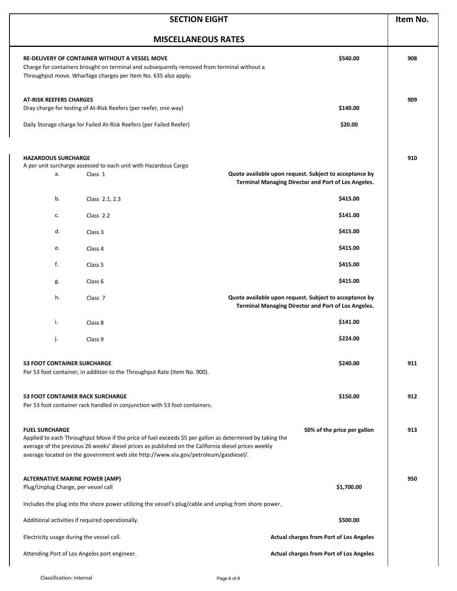| <b>SECTION EIGHT</b>                                                                                  |                                                                                                                                                                                                                                                                                                       | Item No.                                                                                                      |     |
|-------------------------------------------------------------------------------------------------------|-------------------------------------------------------------------------------------------------------------------------------------------------------------------------------------------------------------------------------------------------------------------------------------------------------|---------------------------------------------------------------------------------------------------------------|-----|
| <b>MISCELLANEOUS RATES</b>                                                                            |                                                                                                                                                                                                                                                                                                       |                                                                                                               |     |
|                                                                                                       | RE-DELIVERY OF CONTAINER WITHOUT A VESSEL MOVE<br>Charge for containers brought on terminal and subsequently removed from terminal without a<br>Throughput move. Wharfage charges per Item No. 635 also apply.                                                                                        | \$540.00                                                                                                      | 908 |
| <b>AT-RISK REEFERS CHARGES</b>                                                                        | Dray charge for testing of At-Risk Reefers (per reefer, one way)                                                                                                                                                                                                                                      | \$140.00                                                                                                      | 909 |
|                                                                                                       | Daily Storage charge for Failed At-Risk Reefers (per Failed Reefer)                                                                                                                                                                                                                                   | \$20.00                                                                                                       |     |
| <b>HAZARDOUS SURCHARGE</b><br>а.                                                                      | A per unit surcharge assessed to each unit with Hazardous Cargo<br>Class 1                                                                                                                                                                                                                            | Quote available upon request. Subject to acceptance by<br>Terminal Managing Director and Port of Los Angeles. | 910 |
| b.                                                                                                    | Class 2.1, 2.3                                                                                                                                                                                                                                                                                        | \$415.00                                                                                                      |     |
| c.                                                                                                    | Class 2.2                                                                                                                                                                                                                                                                                             | \$141.00                                                                                                      |     |
| d.<br>e.                                                                                              | Class 3<br>Class 4                                                                                                                                                                                                                                                                                    | \$415.00<br>\$415.00                                                                                          |     |
| f.                                                                                                    | Class 5                                                                                                                                                                                                                                                                                               | \$415.00                                                                                                      |     |
| g.                                                                                                    | Class 6                                                                                                                                                                                                                                                                                               | \$415.00                                                                                                      |     |
| h.                                                                                                    | Class <sub>7</sub>                                                                                                                                                                                                                                                                                    | Quote available upon request. Subject to acceptance by<br>Terminal Managing Director and Port of Los Angeles. |     |
| i.                                                                                                    | Class 8                                                                                                                                                                                                                                                                                               | \$141.00                                                                                                      |     |
| j.                                                                                                    | Class 9                                                                                                                                                                                                                                                                                               | \$224.00                                                                                                      |     |
| <b>53 FOOT CONTAINER SURCHARGE</b>                                                                    | Per 53 foot container, in addition to the Throughput Rate (Item No. 900).                                                                                                                                                                                                                             | \$240.00                                                                                                      | 911 |
| <b>53 FOOT CONTAINER RACK SURCHARGE</b>                                                               | Per 53 foot container rack handled in conjunction with 53 foot containers.                                                                                                                                                                                                                            | \$150.00                                                                                                      | 912 |
| <b>FUEL SURCHARGE</b>                                                                                 | Applied to each Throughput Move if the price of fuel exceeds \$5 per gallon as determined by taking the<br>average of the previous 26 weeks' diesel prices as published on the California diesel prices weekly<br>average located on the government web site http://www.eia.gov/petroleum/gasdiesel/. | 50% of the price per gallon                                                                                   | 913 |
| <b>ALTERNATIVE MARINE POWER (AMP)</b><br>Plug/Unplug Charge, per vessel call                          |                                                                                                                                                                                                                                                                                                       | \$1,700.00                                                                                                    | 950 |
| Includes the plug into the shore power utilizing the vessel's plug/cable and unplug from shore power. |                                                                                                                                                                                                                                                                                                       |                                                                                                               |     |
|                                                                                                       | Additional activities if required operationally.                                                                                                                                                                                                                                                      | \$500.00                                                                                                      |     |
| Electricity usage during the vessel call.<br>Actual charges from Port of Los Angeles                  |                                                                                                                                                                                                                                                                                                       |                                                                                                               |     |
| Attending Port of Los Angeles port engineer.<br><b>Actual charges from Port of Los Angeles</b>        |                                                                                                                                                                                                                                                                                                       |                                                                                                               |     |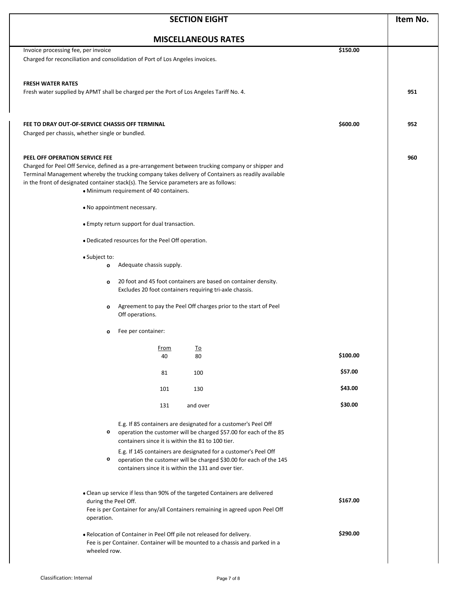| <b>MISCELLANEOUS RATES</b><br>Invoice processing fee, per invoice<br>\$150.00<br>Charged for reconciliation and consolidation of Port of Los Angeles invoices.<br><b>FRESH WATER RATES</b><br>Fresh water supplied by APMT shall be charged per the Port of Los Angeles Tariff No. 4.<br>\$600.00<br>FEE TO DRAY OUT-OF-SERVICE CHASSIS OFF TERMINAL                           |     |
|--------------------------------------------------------------------------------------------------------------------------------------------------------------------------------------------------------------------------------------------------------------------------------------------------------------------------------------------------------------------------------|-----|
|                                                                                                                                                                                                                                                                                                                                                                                |     |
|                                                                                                                                                                                                                                                                                                                                                                                |     |
|                                                                                                                                                                                                                                                                                                                                                                                | 951 |
| Charged per chassis, whether single or bundled.                                                                                                                                                                                                                                                                                                                                | 952 |
| PEEL OFF OPERATION SERVICE FEE<br>Charged for Peel Off Service, defined as a pre-arrangement between trucking company or shipper and<br>Terminal Management whereby the trucking company takes delivery of Containers as readily available<br>in the front of designated container stack(s). The Service parameters are as follows:<br>• Minimum requirement of 40 containers. | 960 |
| • No appointment necessary.                                                                                                                                                                                                                                                                                                                                                    |     |
| • Empty return support for dual transaction.                                                                                                                                                                                                                                                                                                                                   |     |
| . Dedicated resources for the Peel Off operation.                                                                                                                                                                                                                                                                                                                              |     |
| • Subject to:<br>Adequate chassis supply.<br>О<br>20 foot and 45 foot containers are based on container density.<br>o                                                                                                                                                                                                                                                          |     |
| Excludes 20 foot containers requiring tri-axle chassis.<br>Agreement to pay the Peel Off charges prior to the start of Peel<br>О<br>Off operations.                                                                                                                                                                                                                            |     |
| Fee per container:<br>о                                                                                                                                                                                                                                                                                                                                                        |     |
| <u>From</u><br><u>lo</u><br>\$100.00<br>40<br>80                                                                                                                                                                                                                                                                                                                               |     |
| \$57.00<br>81<br>100                                                                                                                                                                                                                                                                                                                                                           |     |
| \$43.00<br>101<br>130                                                                                                                                                                                                                                                                                                                                                          |     |
| \$30.00<br>131<br>and over                                                                                                                                                                                                                                                                                                                                                     |     |
| E.g. If 85 containers are designated for a customer's Peel Off<br>operation the customer will be charged \$57.00 for each of the 85<br>0<br>containers since it is within the 81 to 100 tier.                                                                                                                                                                                  |     |
| E.g. If 145 containers are designated for a customer's Peel Off<br>0<br>operation the customer will be charged \$30.00 for each of the 145<br>containers since it is within the 131 and over tier.                                                                                                                                                                             |     |
| • Clean up service if less than 90% of the targeted Containers are delivered<br>\$167.00<br>during the Peel Off.<br>Fee is per Container for any/all Containers remaining in agreed upon Peel Off<br>operation.                                                                                                                                                                |     |
| \$290.00<br>. Relocation of Container in Peel Off pile not released for delivery.<br>Fee is per Container. Container will be mounted to a chassis and parked in a<br>wheeled row.                                                                                                                                                                                              |     |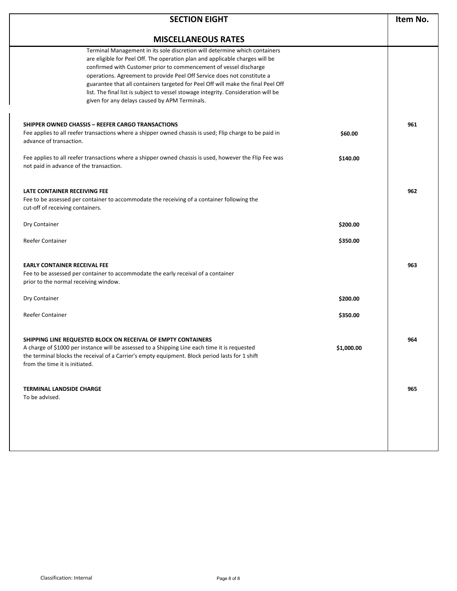| <b>SECTION EIGHT</b>                                                                                                                                                                                                                                                                                                                                                                                                                                                                                                                  |            | Item No. |
|---------------------------------------------------------------------------------------------------------------------------------------------------------------------------------------------------------------------------------------------------------------------------------------------------------------------------------------------------------------------------------------------------------------------------------------------------------------------------------------------------------------------------------------|------------|----------|
| <b>MISCELLANEOUS RATES</b>                                                                                                                                                                                                                                                                                                                                                                                                                                                                                                            |            |          |
| Terminal Management in its sole discretion will determine which containers<br>are eligible for Peel Off. The operation plan and applicable charges will be<br>confirmed with Customer prior to commencement of vessel discharge<br>operations. Agreement to provide Peel Off Service does not constitute a<br>guarantee that all containers targeted for Peel Off will make the final Peel Off<br>list. The final list is subject to vessel stowage integrity. Consideration will be<br>given for any delays caused by APM Terminals. |            |          |
| SHIPPER OWNED CHASSIS - REEFER CARGO TRANSACTIONS<br>Fee applies to all reefer transactions where a shipper owned chassis is used; Flip charge to be paid in<br>advance of transaction.                                                                                                                                                                                                                                                                                                                                               | \$60.00    | 961      |
| Fee applies to all reefer transactions where a shipper owned chassis is used, however the Flip Fee was<br>not paid in advance of the transaction.                                                                                                                                                                                                                                                                                                                                                                                     | \$140.00   |          |
| LATE CONTAINER RECEIVING FEE<br>Fee to be assessed per container to accommodate the receiving of a container following the<br>cut-off of receiving containers.                                                                                                                                                                                                                                                                                                                                                                        |            | 962      |
| Dry Container                                                                                                                                                                                                                                                                                                                                                                                                                                                                                                                         | \$200.00   |          |
| Reefer Container                                                                                                                                                                                                                                                                                                                                                                                                                                                                                                                      | \$350.00   |          |
| <b>EARLY CONTAINER RECEIVAL FEE</b><br>Fee to be assessed per container to accommodate the early receival of a container<br>prior to the normal receiving window.                                                                                                                                                                                                                                                                                                                                                                     |            | 963      |
| Dry Container                                                                                                                                                                                                                                                                                                                                                                                                                                                                                                                         | \$200.00   |          |
| <b>Reefer Container</b>                                                                                                                                                                                                                                                                                                                                                                                                                                                                                                               | \$350.00   |          |
| SHIPPING LINE REQUESTED BLOCK ON RECEIVAL OF EMPTY CONTAINERS<br>A charge of \$1000 per instance will be assessed to a Shipping Line each time it is requested<br>the terminal blocks the receival of a Carrier's empty equipment. Block period lasts for 1 shift<br>from the time it is initiated.                                                                                                                                                                                                                                   | \$1,000.00 | 964      |
| <b>TERMINAL LANDSIDE CHARGE</b><br>To be advised.                                                                                                                                                                                                                                                                                                                                                                                                                                                                                     |            | 965      |
|                                                                                                                                                                                                                                                                                                                                                                                                                                                                                                                                       |            |          |
|                                                                                                                                                                                                                                                                                                                                                                                                                                                                                                                                       |            |          |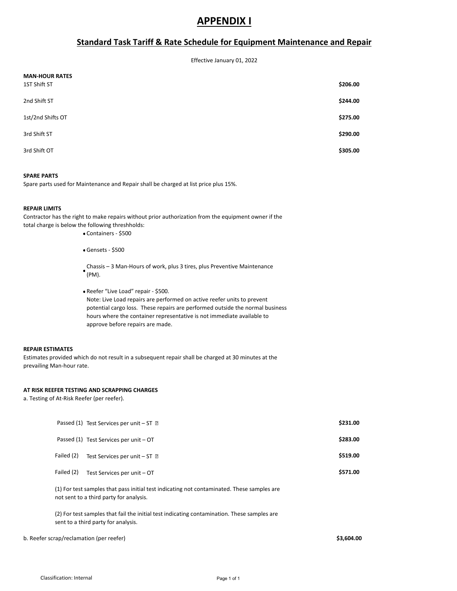### **APPENDIX I**

### **Standard Task Tariff & Rate Schedule for Equipment Maintenance and Repair**

Effective January 01, 2022

| <b>MAN-HOUR RATES</b><br>1ST Shift ST | \$206.00 |
|---------------------------------------|----------|
| 2nd Shift ST                          | \$244.00 |
| 1st/2nd Shifts OT                     | \$275.00 |
| 3rd Shift ST                          | \$290.00 |
| 3rd Shift OT                          | \$305.00 |

#### **SPARE PARTS**

Spare parts used for Maintenance and Repair shall be charged at list price plus 15%.

#### **REPAIR LIMITS**

Contractor has the right to make repairs without prior authorization from the equipment owner if the total charge is below the following threshholds:

- Containers \$500
- Gensets \$500
- (PM). Chassis – 3 Man-Hours of work, plus 3 tires, plus Preventive Maintenance
- Reefer "Live Load" repair \$500. Note: Live Load repairs are performed on active reefer units to prevent potential cargo loss. These repairs are performed outside the normal business hours where the container representative is not immediate available to approve before repairs are made.

#### **REPAIR ESTIMATES**

Estimates provided which do not result in a subsequent repair shall be charged at 30 minutes at the prevailing Man-hour rate.

#### **AT RISK REEFER TESTING AND SCRAPPING CHARGES**

a. Testing of At-Risk Reefer (per reefer).

|                                          | (1) For test samples that pass initial test indicating not contaminated. These samples are<br>not sent to a third party for analysis. |            |
|------------------------------------------|---------------------------------------------------------------------------------------------------------------------------------------|------------|
|                                          |                                                                                                                                       |            |
|                                          | (2) For test samples that fail the initial test indicating contamination. These samples are<br>sent to a third party for analysis.    |            |
| b. Reefer scrap/reclamation (per reefer) |                                                                                                                                       | \$3,604.00 |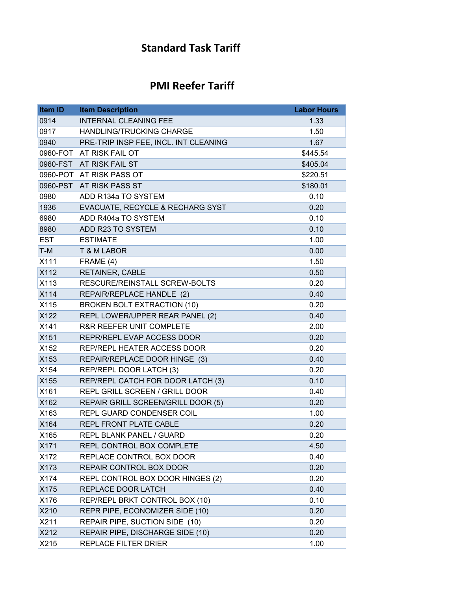### **Standard Task Tariff**

## **PMI Reefer Tariff**

| <b>Item ID</b> | <b>Item Description</b>               | <b>Labor Hours</b> |
|----------------|---------------------------------------|--------------------|
| 0914           | <b>INTERNAL CLEANING FEE</b>          | 1.33               |
| 0917           | <b>HANDLING/TRUCKING CHARGE</b>       | 1.50               |
| 0940           | PRE-TRIP INSP FEE, INCL. INT CLEANING | 1.67               |
|                | 0960-FOT AT RISK FAIL OT              | \$445.54           |
|                | 0960-FST AT RISK FAIL ST              | \$405.04           |
|                | 0960-POT AT RISK PASS OT              | \$220.51           |
|                | 0960-PST AT RISK PASS ST              | \$180.01           |
| 0980           | ADD R134a TO SYSTEM                   | 0.10               |
| 1936           | EVACUATE, RECYCLE & RECHARG SYST      | 0.20               |
| 6980           | ADD R404a TO SYSTEM                   | 0.10               |
| 8980           | ADD R23 TO SYSTEM                     | 0.10               |
| <b>EST</b>     | <b>ESTIMATE</b>                       | 1.00               |
| $T-M$          | <b>T &amp; M LABOR</b>                | 0.00               |
| X111           | FRAME (4)                             | 1.50               |
| X112           | RETAINER, CABLE                       | 0.50               |
| X113           | RESCURE/REINSTALL SCREW-BOLTS         | 0.20               |
| X114           | REPAIR/REPLACE HANDLE (2)             | 0.40               |
| X115           | <b>BROKEN BOLT EXTRACTION (10)</b>    | 0.20               |
| X122           | REPL LOWER/UPPER REAR PANEL (2)       | 0.40               |
| X141           | R&R REEFER UNIT COMPLETE              | 2.00               |
| X151           | REPR/REPL EVAP ACCESS DOOR            | 0.20               |
| X152           | REP/REPL HEATER ACCESS DOOR           | 0.20               |
| X153           | REPAIR/REPLACE DOOR HINGE (3)         | 0.40               |
| X154           | REP/REPL DOOR LATCH (3)               | 0.20               |
| X155           | REP/REPL CATCH FOR DOOR LATCH (3)     | 0.10               |
| X161           | REPL GRILL SCREEN / GRILL DOOR        | 0.40               |
| X162           | REPAIR GRILL SCREEN/GRILL DOOR (5)    | 0.20               |
| X163           | REPL GUARD CONDENSER COIL             | 1.00               |
| X164           | REPL FRONT PLATE CABLE                | 0.20               |
| X165           | <b>REPL BLANK PANEL / GUARD</b>       | 0.20               |
| X171           | REPL CONTROL BOX COMPLETE             | 4.50               |
| X172           | REPLACE CONTROL BOX DOOR              | 0.40               |
| X173           | REPAIR CONTROL BOX DOOR               | 0.20               |
| X174           | REPL CONTROL BOX DOOR HINGES (2)      | 0.20               |
| X175           | REPLACE DOOR LATCH                    | 0.40               |
| X176           | REP/REPL BRKT CONTROL BOX (10)        | 0.10               |
| X210           | REPR PIPE, ECONOMIZER SIDE (10)       | 0.20               |
| X211           | REPAIR PIPE, SUCTION SIDE (10)        | 0.20               |
| X212           | REPAIR PIPE, DISCHARGE SIDE (10)      | 0.20               |
| X215           | REPLACE FILTER DRIER                  | 1.00               |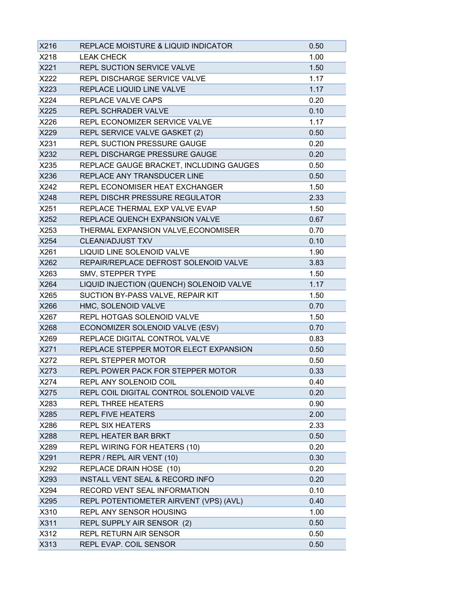| X216 | REPLACE MOISTURE & LIQUID INDICATOR      | 0.50 |
|------|------------------------------------------|------|
| X218 | <b>LEAK CHECK</b>                        | 1.00 |
| X221 | REPL SUCTION SERVICE VALVE               | 1.50 |
| X222 | REPL DISCHARGE SERVICE VALVE             | 1.17 |
| X223 | REPLACE LIQUID LINE VALVE                | 1.17 |
| X224 | REPLACE VALVE CAPS                       | 0.20 |
| X225 | <b>REPL SCHRADER VALVE</b>               | 0.10 |
| X226 | REPL ECONOMIZER SERVICE VALVE            | 1.17 |
| X229 | REPL SERVICE VALVE GASKET (2)            | 0.50 |
| X231 | <b>REPL SUCTION PRESSURE GAUGE</b>       | 0.20 |
| X232 | REPL DISCHARGE PRESSURE GAUGE            | 0.20 |
| X235 | REPLACE GAUGE BRACKET, INCLUDING GAUGES  | 0.50 |
| X236 | REPLACE ANY TRANSDUCER LINE              | 0.50 |
| X242 | REPL ECONOMISER HEAT EXCHANGER           | 1.50 |
| X248 | REPL DISCHR PRESSURE REGULATOR           | 2.33 |
| X251 | REPLACE THERMAL EXP VALVE EVAP           | 1.50 |
| X252 | REPLACE QUENCH EXPANSION VALVE           | 0.67 |
| X253 | THERMAL EXPANSION VALVE, ECONOMISER      | 0.70 |
| X254 | <b>CLEAN/ADJUST TXV</b>                  | 0.10 |
| X261 | LIQUID LINE SOLENOID VALVE               | 1.90 |
| X262 | REPAIR/REPLACE DEFROST SOLENOID VALVE    | 3.83 |
| X263 | SMV, STEPPER TYPE                        | 1.50 |
| X264 | LIQUID INJECTION (QUENCH) SOLENOID VALVE | 1.17 |
| X265 | SUCTION BY-PASS VALVE, REPAIR KIT        | 1.50 |
| X266 | HMC, SOLENOID VALVE                      | 0.70 |
| X267 | REPL HOTGAS SOLENOID VALVE               | 1.50 |
| X268 | ECONOMIZER SOLENOID VALVE (ESV)          | 0.70 |
| X269 | REPLACE DIGITAL CONTROL VALVE            | 0.83 |
| X271 | REPLACE STEPPER MOTOR ELECT EXPANSION    | 0.50 |
| X272 | <b>REPL STEPPER MOTOR</b>                | 0.50 |
| X273 | REPL POWER PACK FOR STEPPER MOTOR        | 0.33 |
| X274 | REPL ANY SOLENOID COIL                   | 0.40 |
| X275 | REPL COIL DIGITAL CONTROL SOLENOID VALVE | 0.20 |
| X283 | <b>REPL THREE HEATERS</b>                | 0.90 |
| X285 | <b>REPL FIVE HEATERS</b>                 | 2.00 |
| X286 | <b>REPL SIX HEATERS</b>                  | 2.33 |
| X288 | REPL HEATER BAR BRKT                     | 0.50 |
| X289 | REPL WIRING FOR HEATERS (10)             | 0.20 |
| X291 | REPR / REPL AIR VENT (10)                | 0.30 |
| X292 | REPLACE DRAIN HOSE (10)                  | 0.20 |
| X293 | INSTALL VENT SEAL & RECORD INFO          | 0.20 |
| X294 | RECORD VENT SEAL INFORMATION             | 0.10 |
| X295 | REPL POTENTIOMETER AIRVENT (VPS) (AVL)   | 0.40 |
| X310 | <b>REPL ANY SENSOR HOUSING</b>           | 1.00 |
| X311 | REPL SUPPLY AIR SENSOR (2)               | 0.50 |
| X312 | REPL RETURN AIR SENSOR                   | 0.50 |
| X313 | REPL EVAP. COIL SENSOR                   | 0.50 |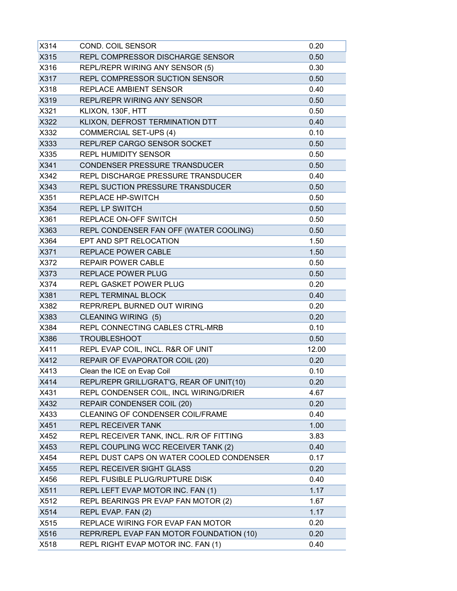| X314 | <b>COND. COIL SENSOR</b>                 | 0.20  |
|------|------------------------------------------|-------|
| X315 | REPL COMPRESSOR DISCHARGE SENSOR         | 0.50  |
| X316 | REPL/REPR WIRING ANY SENSOR (5)          | 0.30  |
| X317 | REPL COMPRESSOR SUCTION SENSOR           | 0.50  |
| X318 | <b>REPLACE AMBIENT SENSOR</b>            | 0.40  |
| X319 | REPL/REPR WIRING ANY SENSOR              | 0.50  |
| X321 | KLIXON, 130F, HTT                        | 0.50  |
| X322 | KLIXON, DEFROST TERMINATION DTT          | 0.40  |
| X332 | <b>COMMERCIAL SET-UPS (4)</b>            | 0.10  |
| X333 | REPL/REP CARGO SENSOR SOCKET             | 0.50  |
| X335 | <b>REPL HUMIDITY SENSOR</b>              | 0.50  |
| X341 | CONDENSER PRESSURE TRANSDUCER            | 0.50  |
| X342 | REPL DISCHARGE PRESSURE TRANSDUCER       | 0.40  |
| X343 | REPL SUCTION PRESSURE TRANSDUCER         | 0.50  |
| X351 | REPLACE HP-SWITCH                        | 0.50  |
| X354 | <b>REPL LP SWITCH</b>                    | 0.50  |
| X361 | REPLACE ON-OFF SWITCH                    | 0.50  |
| X363 | REPL CONDENSER FAN OFF (WATER COOLING)   | 0.50  |
| X364 | EPT AND SPT RELOCATION                   | 1.50  |
| X371 | REPLACE POWER CABLE                      | 1.50  |
| X372 | <b>REPAIR POWER CABLE</b>                | 0.50  |
| X373 | <b>REPLACE POWER PLUG</b>                | 0.50  |
| X374 | <b>REPL GASKET POWER PLUG</b>            | 0.20  |
| X381 | <b>REPL TERMINAL BLOCK</b>               | 0.40  |
| X382 | REPR/REPL BURNED OUT WIRING              | 0.20  |
| X383 | <b>CLEANING WIRING (5)</b>               | 0.20  |
| X384 | REPL CONNECTING CABLES CTRL-MRB          | 0.10  |
| X386 | <b>TROUBLESHOOT</b>                      | 0.50  |
| X411 | REPL EVAP COIL, INCL. R&R OF UNIT        | 12.00 |
| X412 | REPAIR OF EVAPORATOR COIL (20)           | 0.20  |
| X413 | Clean the ICE on Evap Coil               | 0.10  |
| X414 | REPL/REPR GRILL/GRAT'G, REAR OF UNIT(10) | 0.20  |
| X431 | REPL CONDENSER COIL, INCL WIRING/DRIER   | 4.67  |
| X432 | REPAIR CONDENSER COIL (20)               | 0.20  |
| X433 | CLEANING OF CONDENSER COIL/FRAME         | 0.40  |
| X451 | <b>REPL RECEIVER TANK</b>                | 1.00  |
| X452 | REPL RECEIVER TANK, INCL. R/R OF FITTING | 3.83  |
| X453 | REPL COUPLING WCC RECEIVER TANK (2)      | 0.40  |
| X454 | REPL DUST CAPS ON WATER COOLED CONDENSER | 0.17  |
| X455 | REPL RECEIVER SIGHT GLASS                | 0.20  |
| X456 | REPL FUSIBLE PLUG/RUPTURE DISK           | 0.40  |
| X511 | REPL LEFT EVAP MOTOR INC. FAN (1)        | 1.17  |
| X512 | REPL BEARINGS PR EVAP FAN MOTOR (2)      | 1.67  |
| X514 | REPL EVAP. FAN (2)                       | 1.17  |
| X515 | REPLACE WIRING FOR EVAP FAN MOTOR        | 0.20  |
| X516 | REPR/REPL EVAP FAN MOTOR FOUNDATION (10) | 0.20  |
| X518 | REPL RIGHT EVAP MOTOR INC. FAN (1)       | 0.40  |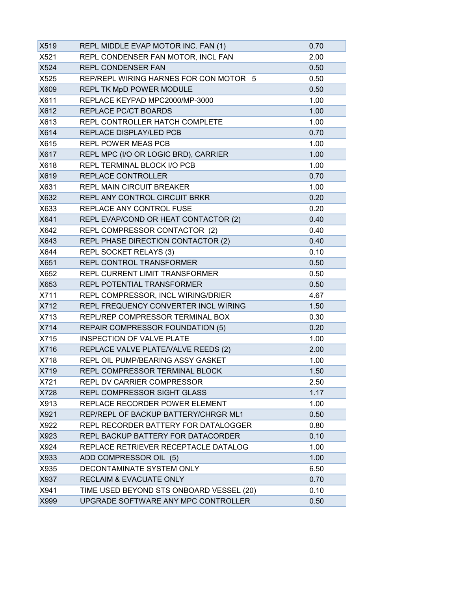| X519 | REPL MIDDLE EVAP MOTOR INC. FAN (1)      | 0.70 |
|------|------------------------------------------|------|
| X521 | REPL CONDENSER FAN MOTOR, INCL FAN       | 2.00 |
| X524 | <b>REPL CONDENSER FAN</b>                | 0.50 |
| X525 | REP/REPL WIRING HARNES FOR CON MOTOR 5   | 0.50 |
| X609 | REPL TK MpD POWER MODULE                 | 0.50 |
| X611 | REPLACE KEYPAD MPC2000/MP-3000           | 1.00 |
| X612 | REPLACE PC/CT BOARDS                     | 1.00 |
| X613 | REPL CONTROLLER HATCH COMPLETE           | 1.00 |
| X614 | REPLACE DISPLAY/LED PCB                  | 0.70 |
| X615 | <b>REPL POWER MEAS PCB</b>               | 1.00 |
| X617 | REPL MPC (I/O OR LOGIC BRD), CARRIER     | 1.00 |
| X618 | REPL TERMINAL BLOCK I/O PCB              | 1.00 |
| X619 | REPLACE CONTROLLER                       | 0.70 |
| X631 | <b>REPL MAIN CIRCUIT BREAKER</b>         | 1.00 |
| X632 | REPL ANY CONTROL CIRCUIT BRKR            | 0.20 |
| X633 | REPLACE ANY CONTROL FUSE                 | 0.20 |
| X641 | REPL EVAP/COND OR HEAT CONTACTOR (2)     | 0.40 |
| X642 | REPL COMPRESSOR CONTACTOR (2)            | 0.40 |
| X643 | REPL PHASE DIRECTION CONTACTOR (2)       | 0.40 |
| X644 | <b>REPL SOCKET RELAYS (3)</b>            | 0.10 |
| X651 | REPL CONTROL TRANSFORMER                 | 0.50 |
| X652 | REPL CURRENT LIMIT TRANSFORMER           | 0.50 |
| X653 | REPL POTENTIAL TRANSFORMER               | 0.50 |
| X711 | REPL COMPRESSOR, INCL WIRING/DRIER       | 4.67 |
| X712 | REPL FREQUENCY CONVERTER INCL WIRING     | 1.50 |
| X713 | REPL/REP COMPRESSOR TERMINAL BOX         | 0.30 |
| X714 | <b>REPAIR COMPRESSOR FOUNDATION (5)</b>  | 0.20 |
| X715 | INSPECTION OF VALVE PLATE                | 1.00 |
| X716 | REPLACE VALVE PLATE/VALVE REEDS (2)      | 2.00 |
| X718 | REPL OIL PUMP/BEARING ASSY GASKET        | 1.00 |
| X719 | REPL COMPRESSOR TERMINAL BLOCK           | 1.50 |
| X721 | REPL DV CARRIER COMPRESSOR               | 2.50 |
| X728 | REPL COMPRESSOR SIGHT GLASS              | 1.17 |
| X913 | REPLACE RECORDER POWER ELEMENT           | 1.00 |
| X921 | REP/REPL OF BACKUP BATTERY/CHRGR ML1     | 0.50 |
| X922 | REPL RECORDER BATTERY FOR DATALOGGER     | 0.80 |
| X923 | REPL BACKUP BATTERY FOR DATACORDER       | 0.10 |
| X924 | REPLACE RETRIEVER RECEPTACLE DATALOG     | 1.00 |
| X933 | ADD COMPRESSOR OIL (5)                   | 1.00 |
| X935 | DECONTAMINATE SYSTEM ONLY                | 6.50 |
| X937 | <b>RECLAIM &amp; EVACUATE ONLY</b>       | 0.70 |
| X941 | TIME USED BEYOND STS ONBOARD VESSEL (20) | 0.10 |
| X999 | UPGRADE SOFTWARE ANY MPC CONTROLLER      | 0.50 |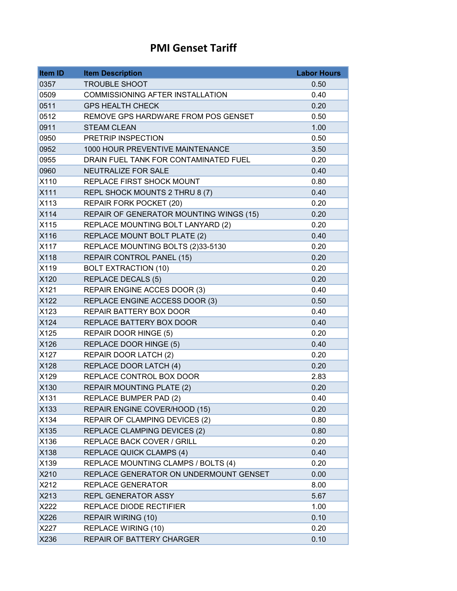### **PMI Genset Tariff**

| <b>Item ID</b>   | <b>Item Description</b>                 | <b>Labor Hours</b> |
|------------------|-----------------------------------------|--------------------|
| 0357             | <b>TROUBLE SHOOT</b>                    | 0.50               |
| 0509             | <b>COMMISSIONING AFTER INSTALLATION</b> | 0.40               |
| 0511             | <b>GPS HEALTH CHECK</b>                 | 0.20               |
| 0512             | REMOVE GPS HARDWARE FROM POS GENSET     | 0.50               |
| 0911             | <b>STEAM CLEAN</b>                      | 1.00               |
| 0950             | PRETRIP INSPECTION                      | 0.50               |
| 0952             | 1000 HOUR PREVENTIVE MAINTENANCE        | 3.50               |
| 0955             | DRAIN FUEL TANK FOR CONTAMINATED FUEL   | 0.20               |
| 0960             | NEUTRALIZE FOR SALE                     | 0.40               |
| X110             | REPLACE FIRST SHOCK MOUNT               | 0.80               |
| <b>X111</b>      | REPL SHOCK MOUNTS 2 THRU 8 (7)          | 0.40               |
| X113             | REPAIR FORK POCKET (20)                 | 0.20               |
| X114             | REPAIR OF GENERATOR MOUNTING WINGS (15) | 0.20               |
| X115             | REPLACE MOUNTING BOLT LANYARD (2)       | 0.20               |
| X116             | REPLACE MOUNT BOLT PLATE (2)            | 0.40               |
| X117             | REPLACE MOUNTING BOLTS (2)33-5130       | 0.20               |
| X118             | REPAIR CONTROL PANEL (15)               | 0.20               |
| X119             | <b>BOLT EXTRACTION (10)</b>             | 0.20               |
| X120             | <b>REPLACE DECALS (5)</b>               | 0.20               |
| X121             | REPAIR ENGINE ACCES DOOR (3)            | 0.40               |
| X122             | REPLACE ENGINE ACCESS DOOR (3)          | 0.50               |
| X123             | REPAIR BATTERY BOX DOOR                 | 0.40               |
| X124             | REPLACE BATTERY BOX DOOR                | 0.40               |
| X125             | <b>REPAIR DOOR HINGE (5)</b>            | 0.20               |
| X126             | REPLACE DOOR HINGE (5)                  | 0.40               |
| X127             | REPAIR DOOR LATCH (2)                   | 0.20               |
| X128             | REPLACE DOOR LATCH (4)                  | 0.20               |
| X <sub>129</sub> | REPLACE CONTROL BOX DOOR                | 2.83               |
| X130             | REPAIR MOUNTING PLATE (2)               | 0.20               |
| X131             | <b>REPLACE BUMPER PAD (2)</b>           | 0.40               |
| X133             | REPAIR ENGINE COVER/HOOD (15)           | 0.20               |
| X134             | REPAIR OF CLAMPING DEVICES (2)          | 0.80               |
| X135             | REPLACE CLAMPING DEVICES (2)            | 0.80               |
| X136             | REPLACE BACK COVER / GRILL              | 0.20               |
| X138             | <b>REPLACE QUICK CLAMPS (4)</b>         | 0.40               |
| X139             | REPLACE MOUNTING CLAMPS / BOLTS (4)     | 0.20               |
| X210             | REPLACE GENERATOR ON UNDERMOUNT GENSET  | 0.00               |
| X212             | <b>REPLACE GENERATOR</b>                | 8.00               |
| X213             | REPL GENERATOR ASSY                     | 5.67               |
| X222             | REPLACE DIODE RECTIFIER                 | 1.00               |
| X226             | <b>REPAIR WIRING (10)</b>               | 0.10               |
| X227             | <b>REPLACE WIRING (10)</b>              | 0.20               |
| X236             | REPAIR OF BATTERY CHARGER               | 0.10               |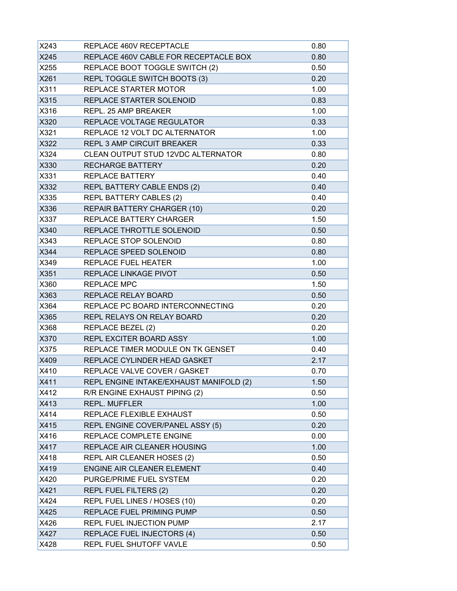| X243 | REPLACE 460V RECEPTACLE                 | 0.80 |
|------|-----------------------------------------|------|
| X245 | REPLACE 460V CABLE FOR RECEPTACLE BOX   | 0.80 |
| X255 | REPLACE BOOT TOGGLE SWITCH (2)          | 0.50 |
| X261 | REPL TOGGLE SWITCH BOOTS (3)            | 0.20 |
| X311 | REPLACE STARTER MOTOR                   | 1.00 |
| X315 | REPLACE STARTER SOLENOID                | 0.83 |
| X316 | REPL. 25 AMP BREAKER                    | 1.00 |
| X320 | REPLACE VOLTAGE REGULATOR               | 0.33 |
| X321 | REPLACE 12 VOLT DC ALTERNATOR           | 1.00 |
| X322 | <b>REPL 3 AMP CIRCUIT BREAKER</b>       | 0.33 |
| X324 | CLEAN OUTPUT STUD 12VDC ALTERNATOR      | 0.80 |
| X330 | <b>RECHARGE BATTERY</b>                 | 0.20 |
| X331 | <b>REPLACE BATTERY</b>                  | 0.40 |
| X332 | REPL BATTERY CABLE ENDS (2)             | 0.40 |
| X335 | <b>REPL BATTERY CABLES (2)</b>          | 0.40 |
| X336 | REPAIR BATTERY CHARGER (10)             | 0.20 |
| X337 | REPLACE BATTERY CHARGER                 | 1.50 |
| X340 | REPLACE THROTTLE SOLENOID               | 0.50 |
| X343 | REPLACE STOP SOLENOID                   | 0.80 |
| X344 | REPLACE SPEED SOLENOID                  | 0.80 |
| X349 | <b>REPLACE FUEL HEATER</b>              | 1.00 |
| X351 | <b>REPLACE LINKAGE PIVOT</b>            | 0.50 |
| X360 | <b>REPLACE MPC</b>                      | 1.50 |
| X363 | REPLACE RELAY BOARD                     | 0.50 |
| X364 | REPLACE PC BOARD INTERCONNECTING        | 0.20 |
| X365 | REPL RELAYS ON RELAY BOARD              | 0.20 |
| X368 | REPLACE BEZEL (2)                       | 0.20 |
| X370 | REPL EXCITER BOARD ASSY                 | 1.00 |
| X375 | REPLACE TIMER MODULE ON TK GENSET       | 0.40 |
| X409 | REPLACE CYLINDER HEAD GASKET            | 2.17 |
| X410 | REPLACE VALVE COVER / GASKET            | 0.70 |
| X411 | REPL ENGINE INTAKE/EXHAUST MANIFOLD (2) | 1.50 |
| X412 | R/R ENGINE EXHAUST PIPING (2)           | 0.50 |
| X413 | <b>REPL. MUFFLER</b>                    | 1.00 |
| X414 | REPLACE FLEXIBLE EXHAUST                | 0.50 |
| X415 | REPL ENGINE COVER/PANEL ASSY (5)        | 0.20 |
| X416 | REPLACE COMPLETE ENGINE                 | 0.00 |
| X417 | REPLACE AIR CLEANER HOUSING             | 1.00 |
| X418 | REPL AIR CLEANER HOSES (2)              | 0.50 |
| X419 | ENGINE AIR CLEANER ELEMENT              | 0.40 |
| X420 | PURGE/PRIME FUEL SYSTEM                 | 0.20 |
| X421 | <b>REPL FUEL FILTERS (2)</b>            | 0.20 |
| X424 | REPL FUEL LINES / HOSES (10)            | 0.20 |
| X425 | REPLACE FUEL PRIMING PUMP               | 0.50 |
| X426 | REPL FUEL INJECTION PUMP                | 2.17 |
| X427 | REPLACE FUEL INJECTORS (4)              | 0.50 |
| X428 | REPL FUEL SHUTOFF VAVLE                 | 0.50 |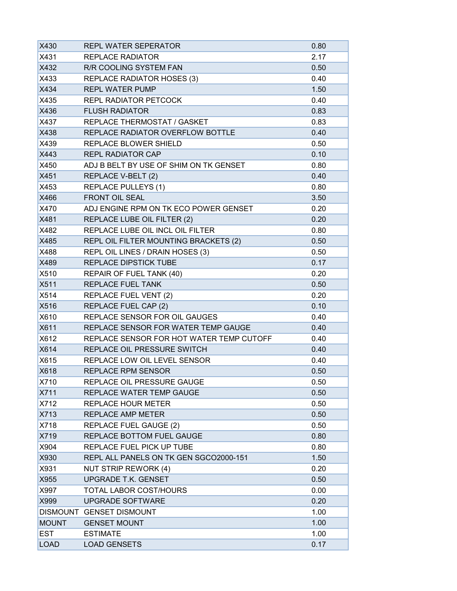| X430         | <b>REPL WATER SEPERATOR</b>              | 0.80 |
|--------------|------------------------------------------|------|
| X431         | <b>REPLACE RADIATOR</b>                  | 2.17 |
| X432         | R/R COOLING SYSTEM FAN                   | 0.50 |
| X433         | REPLACE RADIATOR HOSES (3)               | 0.40 |
| X434         | <b>REPL WATER PUMP</b>                   | 1.50 |
| X435         | <b>REPL RADIATOR PETCOCK</b>             | 0.40 |
| X436         | <b>FLUSH RADIATOR</b>                    | 0.83 |
| X437         | <b>REPLACE THERMOSTAT / GASKET</b>       | 0.83 |
| X438         | REPLACE RADIATOR OVERFLOW BOTTLE         | 0.40 |
| X439         | <b>REPLACE BLOWER SHIELD</b>             | 0.50 |
| X443         | <b>REPL RADIATOR CAP</b>                 | 0.10 |
| X450         | ADJ B BELT BY USE OF SHIM ON TK GENSET   | 0.80 |
| X451         | REPLACE V-BELT (2)                       | 0.40 |
| X453         | <b>REPLACE PULLEYS (1)</b>               | 0.80 |
| X466         | <b>FRONT OIL SEAL</b>                    | 3.50 |
| X470         | ADJ ENGINE RPM ON TK ECO POWER GENSET    | 0.20 |
| X481         | REPLACE LUBE OIL FILTER (2)              | 0.20 |
| X482         | REPLACE LUBE OIL INCL OIL FILTER         | 0.80 |
| X485         | REPL OIL FILTER MOUNTING BRACKETS (2)    | 0.50 |
| X488         | REPL OIL LINES / DRAIN HOSES (3)         | 0.50 |
| X489         | <b>REPLACE DIPSTICK TUBE</b>             | 0.17 |
| X510         | REPAIR OF FUEL TANK (40)                 | 0.20 |
| X511         | <b>REPLACE FUEL TANK</b>                 | 0.50 |
| X514         | <b>REPLACE FUEL VENT (2)</b>             | 0.20 |
| X516         | REPLACE FUEL CAP (2)                     | 0.10 |
| X610         | REPLACE SENSOR FOR OIL GAUGES            | 0.40 |
| X611         | REPLACE SENSOR FOR WATER TEMP GAUGE      | 0.40 |
| X612         | REPLACE SENSOR FOR HOT WATER TEMP CUTOFF | 0.40 |
| X614         | REPLACE OIL PRESSURE SWITCH              | 0.40 |
| X615         | REPLACE LOW OIL LEVEL SENSOR             | 0.40 |
| X618         | <b>REPLACE RPM SENSOR</b>                | 0.50 |
| X710         | REPLACE OIL PRESSURE GAUGE               | 0.50 |
| X711         | REPLACE WATER TEMP GAUGE                 | 0.50 |
| X712         | <b>REPLACE HOUR METER</b>                | 0.50 |
| X713         | <b>REPLACE AMP METER</b>                 | 0.50 |
| X718         | <b>REPLACE FUEL GAUGE (2)</b>            | 0.50 |
| X719         | REPLACE BOTTOM FUEL GAUGE                | 0.80 |
| X904         | REPLACE FUEL PICK UP TUBE                | 0.80 |
| X930         | REPL ALL PANELS ON TK GEN SGCO2000-151   | 1.50 |
| X931         | NUT STRIP REWORK (4)                     | 0.20 |
| X955         | UPGRADE T.K. GENSET                      | 0.50 |
| X997         | <b>TOTAL LABOR COST/HOURS</b>            | 0.00 |
| X999         | <b>UPGRADE SOFTWARE</b>                  | 0.20 |
|              | DISMOUNT GENSET DISMOUNT                 | 1.00 |
| <b>MOUNT</b> | <b>GENSET MOUNT</b>                      | 1.00 |
| <b>EST</b>   | <b>ESTIMATE</b>                          | 1.00 |
| <b>LOAD</b>  | <b>LOAD GENSETS</b>                      | 0.17 |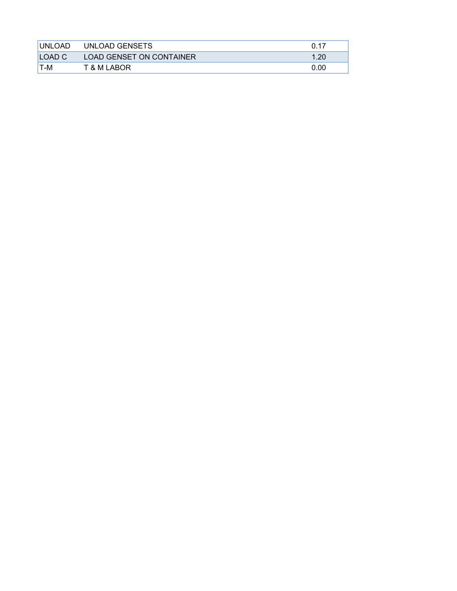| <b>IUNLOAD</b> | UNLOAD GENSETS                  | በ 17 |
|----------------|---------------------------------|------|
| LOAD C         | <b>LOAD GENSET ON CONTAINER</b> | .20  |
| IT-M           | T & M LABOR                     | 0.00 |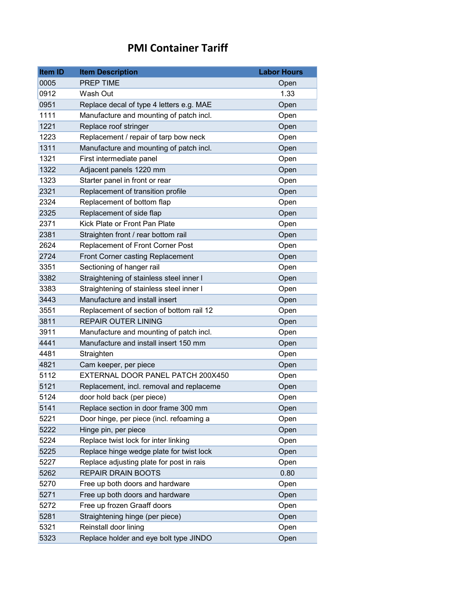# **PMI Container Tariff**

| <b>Item ID</b> | <b>Item Description</b>                  | <b>Labor Hours</b> |
|----------------|------------------------------------------|--------------------|
| 0005           | PREP TIME                                | Open               |
| 0912           | Wash Out                                 | 1.33               |
| 0951           | Replace decal of type 4 letters e.g. MAE | Open               |
| 1111           | Manufacture and mounting of patch incl.  | Open               |
| 1221           | Replace roof stringer                    | Open               |
| 1223           | Replacement / repair of tarp bow neck    | Open               |
| 1311           | Manufacture and mounting of patch incl.  | Open               |
| 1321           | First intermediate panel                 | Open               |
| 1322           | Adjacent panels 1220 mm                  | Open               |
| 1323           | Starter panel in front or rear           | Open               |
| 2321           | Replacement of transition profile        | Open               |
| 2324           | Replacement of bottom flap               | Open               |
| 2325           | Replacement of side flap                 | Open               |
| 2371           | Kick Plate or Front Pan Plate            | Open               |
| 2381           | Straighten front / rear bottom rail      | Open               |
| 2624           | Replacement of Front Corner Post         | Open               |
| 2724           | Front Corner casting Replacement         | Open               |
| 3351           | Sectioning of hanger rail                | Open               |
| 3382           | Straightening of stainless steel inner I | Open               |
| 3383           | Straightening of stainless steel inner I | Open               |
| 3443           | Manufacture and install insert           | Open               |
| 3551           | Replacement of section of bottom rail 12 | Open               |
| 3811           | <b>REPAIR OUTER LINING</b>               | Open               |
| 3911           | Manufacture and mounting of patch incl.  | Open               |
| 4441           | Manufacture and install insert 150 mm    | Open               |
| 4481           | Straighten                               | Open               |
| 4821           | Cam keeper, per piece                    | Open               |
| 5112           | EXTERNAL DOOR PANEL PATCH 200X450        | Open               |
| 5121           | Replacement, incl. removal and replaceme | Open               |
| 5124           | door hold back (per piece)               | Open               |
| 5141           | Replace section in door frame 300 mm     | Open               |
| 5221           | Door hinge, per piece (incl. refoaming a | Open               |
| 5222           | Hinge pin, per piece                     | Open               |
| 5224           | Replace twist lock for inter linking     | Open               |
| 5225           | Replace hinge wedge plate for twist lock | Open               |
| 5227           | Replace adjusting plate for post in rais | Open               |
| 5262           | <b>REPAIR DRAIN BOOTS</b>                | 0.80               |
| 5270           | Free up both doors and hardware          | Open               |
| 5271           | Free up both doors and hardware          | Open               |
| 5272           | Free up frozen Graaff doors              | Open               |
| 5281           | Straightening hinge (per piece)          | Open               |
| 5321           | Reinstall door lining                    | Open               |
| 5323           | Replace holder and eye bolt type JINDO   | Open               |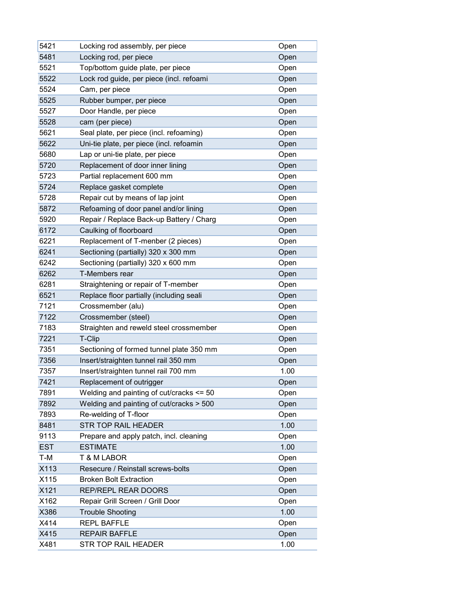| 5421       | Locking rod assembly, per piece          | Open |
|------------|------------------------------------------|------|
| 5481       | Locking rod, per piece                   | Open |
| 5521       | Top/bottom guide plate, per piece        | Open |
| 5522       | Lock rod guide, per piece (incl. refoami | Open |
| 5524       | Cam, per piece                           | Open |
| 5525       | Rubber bumper, per piece                 | Open |
| 5527       | Door Handle, per piece                   | Open |
| 5528       | cam (per piece)                          | Open |
| 5621       | Seal plate, per piece (incl. refoaming)  | Open |
| 5622       | Uni-tie plate, per piece (incl. refoamin | Open |
| 5680       | Lap or uni-tie plate, per piece          | Open |
| 5720       | Replacement of door inner lining         | Open |
| 5723       | Partial replacement 600 mm               | Open |
| 5724       | Replace gasket complete                  | Open |
| 5728       | Repair cut by means of lap joint         | Open |
| 5872       | Refoaming of door panel and/or lining    | Open |
| 5920       | Repair / Replace Back-up Battery / Charg | Open |
| 6172       | Caulking of floorboard                   | Open |
| 6221       | Replacement of T-menber (2 pieces)       | Open |
| 6241       | Sectioning (partially) 320 x 300 mm      | Open |
| 6242       | Sectioning (partially) 320 x 600 mm      | Open |
| 6262       | T-Members rear                           | Open |
| 6281       | Straightening or repair of T-member      | Open |
| 6521       | Replace floor partially (including seali | Open |
| 7121       | Crossmember (alu)                        | Open |
| 7122       | Crossmember (steel)                      | Open |
| 7183       | Straighten and reweld steel crossmember  | Open |
| 7221       | T-Clip                                   | Open |
| 7351       | Sectioning of formed tunnel plate 350 mm | Open |
| 7356       | Insert/straighten tunnel rail 350 mm     | Open |
| 7357       | Insert/straighten tunnel rail 700 mm     | 1.00 |
| 7421       | Replacement of outrigger                 | Open |
| 7891       | Welding and painting of cut/cracks <= 50 | Open |
| 7892       | Welding and painting of cut/cracks > 500 | Open |
| 7893       | Re-welding of T-floor                    | Open |
| 8481       | <b>STR TOP RAIL HEADER</b>               | 1.00 |
| 9113       | Prepare and apply patch, incl. cleaning  | Open |
| <b>EST</b> | <b>ESTIMATE</b>                          | 1.00 |
| T-M        | <b>T &amp; M LABOR</b>                   | Open |
| X113       | Resecure / Reinstall screws-bolts        | Open |
| X115       | <b>Broken Bolt Extraction</b>            | Open |
| X121       | REP/REPL REAR DOORS                      | Open |
| X162       | Repair Grill Screen / Grill Door         | Open |
| X386       | <b>Trouble Shooting</b>                  | 1.00 |
| X414       | <b>REPL BAFFLE</b>                       | Open |
| X415       | <b>REPAIR BAFFLE</b>                     | Open |
| X481       | STR TOP RAIL HEADER                      | 1.00 |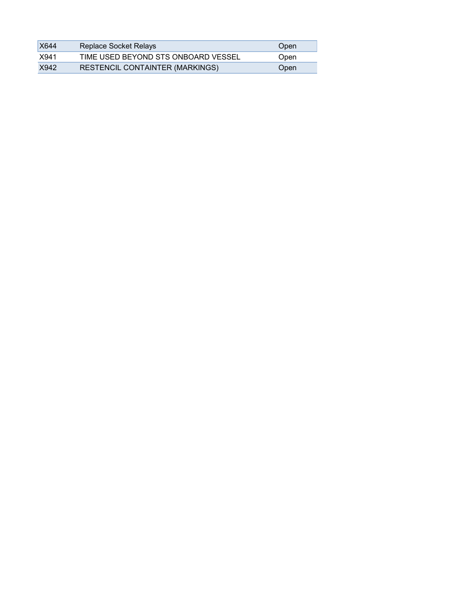| <b>X644</b> | Replace Socket Relays                  | Open |
|-------------|----------------------------------------|------|
| X941        | TIME USED BEYOND STS ONBOARD VESSEL    | Open |
| X942        | <b>RESTENCIL CONTAINTER (MARKINGS)</b> | Open |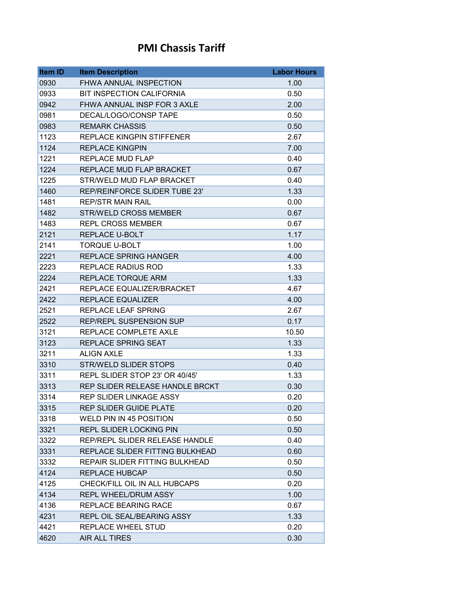### **PMI Chassis Tariff**

| Item ID | <b>Item Description</b>          | <b>Labor Hours</b> |
|---------|----------------------------------|--------------------|
| 0930    | FHWA ANNUAL INSPECTION           | 1.00               |
| 0933    | <b>BIT INSPECTION CALIFORNIA</b> | 0.50               |
| 0942    | FHWA ANNUAL INSP FOR 3 AXLE      | 2.00               |
| 0981    | DECAL/LOGO/CONSP TAPE            | 0.50               |
| 0983    | <b>REMARK CHASSIS</b>            | 0.50               |
| 1123    | <b>REPLACE KINGPIN STIFFENER</b> | 2.67               |
| 1124    | <b>REPLACE KINGPIN</b>           | 7.00               |
| 1221    | <b>REPLACE MUD FLAP</b>          | 0.40               |
| 1224    | REPLACE MUD FLAP BRACKET         | 0.67               |
| 1225    | STR/WELD MUD FLAP BRACKET        | 0.40               |
| 1460    | REP/REINFORCE SLIDER TUBE 23'    | 1.33               |
| 1481    | <b>REP/STR MAIN RAIL</b>         | 0.00               |
| 1482    | <b>STR/WELD CROSS MEMBER</b>     | 0.67               |
| 1483    | <b>REPL CROSS MEMBER</b>         | 0.67               |
| 2121    | <b>REPLACE U-BOLT</b>            | 1.17               |
| 2141    | <b>TORQUE U-BOLT</b>             | 1.00               |
| 2221    | <b>REPLACE SPRING HANGER</b>     | 4.00               |
| 2223    | <b>REPLACE RADIUS ROD</b>        | 1.33               |
| 2224    | REPLACE TORQUE ARM               | 1.33               |
| 2421    | REPLACE EQUALIZER/BRACKET        | 4.67               |
| 2422    | <b>REPLACE EQUALIZER</b>         | 4.00               |
| 2521    | <b>REPLACE LEAF SPRING</b>       | 2.67               |
| 2522    | <b>REP/REPL SUSPENSION SUP</b>   | 0.17               |
| 3121    | REPLACE COMPLETE AXLE            | 10.50              |
| 3123    | <b>REPLACE SPRING SEAT</b>       | 1.33               |
| 3211    | <b>ALIGN AXLE</b>                | 1.33               |
| 3310    | <b>STR/WELD SLIDER STOPS</b>     | 0.40               |
| 3311    | REPL SLIDER STOP 23' OR 40/45'   | 1.33               |
| 3313    | REP SLIDER RELEASE HANDLE BRCKT  | 0.30               |
| 3314    | <b>REP SLIDER LINKAGE ASSY</b>   | 0.20               |
| 3315    | <b>REP SLIDER GUIDE PLATE</b>    | 0.20               |
| 3318    | WELD PIN IN 45 POSITION          | 0.50               |
| 3321    | <b>REPL SLIDER LOCKING PIN</b>   | 0.50               |
| 3322    | REP/REPL SLIDER RELEASE HANDLE   | 0.40               |
| 3331    | REPLACE SLIDER FITTING BULKHEAD  | 0.60               |
| 3332    | REPAIR SLIDER FITTING BULKHEAD   | 0.50               |
| 4124    | <b>REPLACE HUBCAP</b>            | 0.50               |
| 4125    | CHECK/FILL OIL IN ALL HUBCAPS    | 0.20               |
| 4134    | REPL WHEEL/DRUM ASSY             | 1.00               |
| 4136    | REPLACE BEARING RACE             | 0.67               |
| 4231    | REPL OIL SEAL/BEARING ASSY       | 1.33               |
| 4421    | REPLACE WHEEL STUD               | 0.20               |
| 4620    | AIR ALL TIRES                    | 0.30               |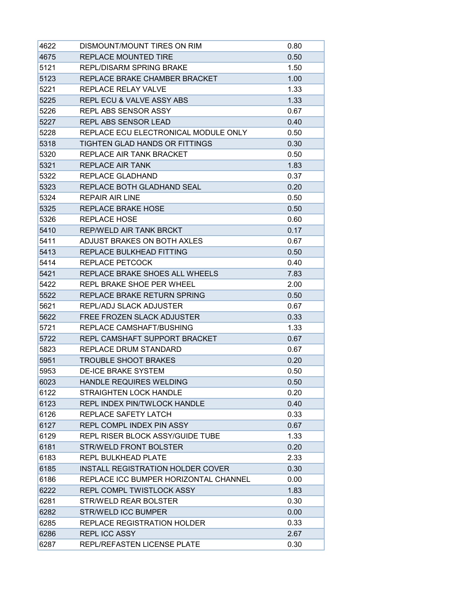| 4622 | DISMOUNT/MOUNT TIRES ON RIM              | 0.80 |
|------|------------------------------------------|------|
| 4675 | <b>REPLACE MOUNTED TIRE</b>              | 0.50 |
| 5121 | REPL/DISARM SPRING BRAKE                 | 1.50 |
| 5123 | REPLACE BRAKE CHAMBER BRACKET            | 1.00 |
| 5221 | <b>REPLACE RELAY VALVE</b>               | 1.33 |
| 5225 | <b>REPL ECU &amp; VALVE ASSY ABS</b>     | 1.33 |
| 5226 | <b>REPL ABS SENSOR ASSY</b>              | 0.67 |
| 5227 | <b>REPL ABS SENSOR LEAD</b>              | 0.40 |
| 5228 | REPLACE ECU ELECTRONICAL MODULE ONLY     | 0.50 |
| 5318 | TIGHTEN GLAD HANDS OR FITTINGS           | 0.30 |
| 5320 | REPLACE AIR TANK BRACKET                 | 0.50 |
| 5321 | <b>REPLACE AIR TANK</b>                  | 1.83 |
| 5322 | REPLACE GLADHAND                         | 0.37 |
| 5323 | REPLACE BOTH GLADHAND SEAL               | 0.20 |
| 5324 | <b>REPAIR AIR LINE</b>                   | 0.50 |
| 5325 | <b>REPLACE BRAKE HOSE</b>                | 0.50 |
| 5326 | <b>REPLACE HOSE</b>                      | 0.60 |
| 5410 | REP/WELD AIR TANK BRCKT                  | 0.17 |
| 5411 | ADJUST BRAKES ON BOTH AXLES              | 0.67 |
| 5413 | REPLACE BULKHEAD FITTING                 | 0.50 |
| 5414 | REPLACE PETCOCK                          | 0.40 |
| 5421 | REPLACE BRAKE SHOES ALL WHEELS           | 7.83 |
| 5422 | REPL BRAKE SHOE PER WHEEL                | 2.00 |
| 5522 | REPLACE BRAKE RETURN SPRING              | 0.50 |
| 5621 | <b>REPL/ADJ SLACK ADJUSTER</b>           | 0.67 |
| 5622 | FREE FROZEN SLACK ADJUSTER               | 0.33 |
| 5721 | REPLACE CAMSHAFT/BUSHING                 | 1.33 |
| 5722 | REPL CAMSHAFT SUPPORT BRACKET            | 0.67 |
| 5823 | REPLACE DRUM STANDARD                    | 0.67 |
| 5951 | <b>TROUBLE SHOOT BRAKES</b>              | 0.20 |
| 5953 | <b>DE-ICE BRAKE SYSTEM</b>               | 0.50 |
| 6023 | HANDLE REQUIRES WELDING                  | 0.50 |
| 6122 | <b>STRAIGHTEN LOCK HANDLE</b>            | 0.20 |
| 6123 | <b>REPL INDEX PIN/TWLOCK HANDLE</b>      | 0.40 |
| 6126 | REPLACE SAFETY LATCH                     | 0.33 |
| 6127 | <b>REPL COMPL INDEX PIN ASSY</b>         | 0.67 |
| 6129 | REPL RISER BLOCK ASSY/GUIDE TUBE         | 1.33 |
| 6181 | <b>STR/WELD FRONT BOLSTER</b>            | 0.20 |
| 6183 | <b>REPL BULKHEAD PLATE</b>               | 2.33 |
| 6185 | <b>INSTALL REGISTRATION HOLDER COVER</b> | 0.30 |
| 6186 | REPLACE ICC BUMPER HORIZONTAL CHANNEL    | 0.00 |
| 6222 | REPL COMPL TWISTLOCK ASSY                | 1.83 |
| 6281 | STR/WELD REAR BOLSTER                    | 0.30 |
| 6282 | <b>STR/WELD ICC BUMPER</b>               | 0.00 |
| 6285 | REPLACE REGISTRATION HOLDER              | 0.33 |
| 6286 | <b>REPLICC ASSY</b>                      | 2.67 |
| 6287 | REPL/REFASTEN LICENSE PLATE              | 0.30 |